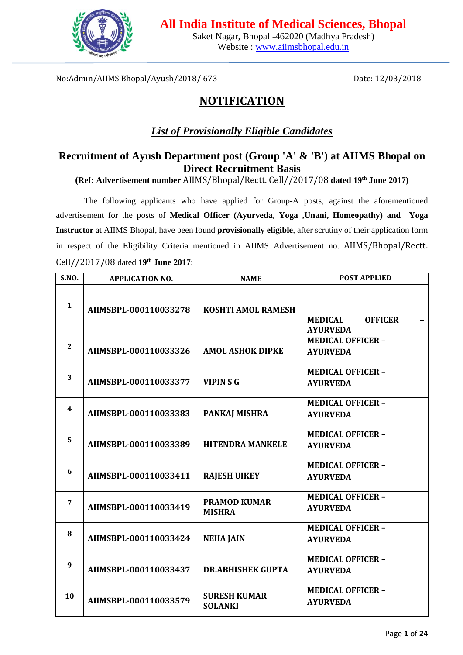

Saket Nagar, Bhopal -462020 (Madhya Pradesh) Website : [www.aiimsbhopal.edu.in](http://www.aiimsbhopal.edu.in/)

No:Admin/AIIMS Bhopal/Ayush/2018/ 673 Date: 12/03/2018

## **NOTIFICATION**

## *List of Provisionally Eligible Candidates*

## **Recruitment of Ayush Department post (Group 'A' & 'B') at AIIMS Bhopal on Direct Recruitment Basis**

**(Ref: Advertisement number** AIIMS/Bhopal/Rectt. Cell//2017/08 **dated 19th June 2017)**

The following applicants who have applied for Group-A posts, against the aforementioned advertisement for the posts of **Medical Officer (Ayurveda, Yoga ,Unani, Homeopathy) and Yoga Instructor** at AIIMS Bhopal, have been found **provisionally eligible**, after scrutiny of their application form in respect of the Eligibility Criteria mentioned in AIIMS Advertisement no. AIIMS/Bhopal/Rectt. Cell//2017/08 dated **19th June 2017**:

| <b>S.NO.</b>     | <b>APPLICATION NO.</b> | <b>NAME</b>                           | <b>POST APPLIED</b>                                 |
|------------------|------------------------|---------------------------------------|-----------------------------------------------------|
| $\mathbf{1}$     | AIIMSBPL-000110033278  | <b>KOSHTI AMOL RAMESH</b>             | <b>OFFICER</b><br><b>MEDICAL</b><br><b>AYURVEDA</b> |
| $\mathbf{2}$     | AIIMSBPL-000110033326  | <b>AMOL ASHOK DIPKE</b>               | <b>MEDICAL OFFICER -</b><br><b>AYURVEDA</b>         |
| 3                | AIIMSBPL-000110033377  | <b>VIPINSG</b>                        | <b>MEDICAL OFFICER -</b><br><b>AYURVEDA</b>         |
| 4                | AIIMSBPL-000110033383  | PANKAJ MISHRA                         | <b>MEDICAL OFFICER -</b><br><b>AYURVEDA</b>         |
| 5                | AIIMSBPL-000110033389  | <b>HITENDRA MANKELE</b>               | <b>MEDICAL OFFICER -</b><br><b>AYURVEDA</b>         |
| 6                | AIIMSBPL-000110033411  | <b>RAJESH UIKEY</b>                   | <b>MEDICAL OFFICER -</b><br><b>AYURVEDA</b>         |
| 7                | AIIMSBPL-000110033419  | <b>PRAMOD KUMAR</b><br><b>MISHRA</b>  | <b>MEDICAL OFFICER -</b><br><b>AYURVEDA</b>         |
| 8                | AIIMSBPL-000110033424  | <b>NEHA JAIN</b>                      | <b>MEDICAL OFFICER -</b><br><b>AYURVEDA</b>         |
| $\boldsymbol{q}$ | AIIMSBPL-000110033437  | <b>DR.ABHISHEK GUPTA</b>              | <b>MEDICAL OFFICER -</b><br><b>AYURVEDA</b>         |
| 10               | AIIMSBPL-000110033579  | <b>SURESH KUMAR</b><br><b>SOLANKI</b> | <b>MEDICAL OFFICER -</b><br><b>AYURVEDA</b>         |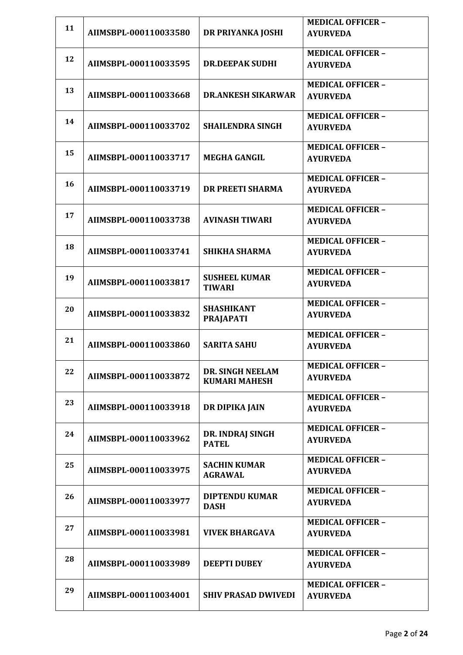| 11 |                       |                            | <b>MEDICAL OFFICER -</b> |
|----|-----------------------|----------------------------|--------------------------|
|    | AIIMSBPL-000110033580 | DR PRIYANKA JOSHI          | <b>AYURVEDA</b>          |
| 12 |                       |                            | <b>MEDICAL OFFICER -</b> |
|    | AIIMSBPL-000110033595 | <b>DR.DEEPAK SUDHI</b>     | <b>AYURVEDA</b>          |
|    |                       |                            | <b>MEDICAL OFFICER -</b> |
| 13 | AIIMSBPL-000110033668 | <b>DR.ANKESH SIKARWAR</b>  | <b>AYURVEDA</b>          |
|    |                       |                            | <b>MEDICAL OFFICER -</b> |
| 14 | AIIMSBPL-000110033702 | <b>SHAILENDRA SINGH</b>    | <b>AYURVEDA</b>          |
|    |                       |                            | <b>MEDICAL OFFICER -</b> |
| 15 | AIIMSBPL-000110033717 | <b>MEGHA GANGIL</b>        | <b>AYURVEDA</b>          |
| 16 |                       |                            | <b>MEDICAL OFFICER -</b> |
|    | AIIMSBPL-000110033719 | <b>DR PREETI SHARMA</b>    | <b>AYURVEDA</b>          |
| 17 |                       |                            | <b>MEDICAL OFFICER -</b> |
|    | AIIMSBPL-000110033738 | <b>AVINASH TIWARI</b>      | <b>AYURVEDA</b>          |
| 18 |                       |                            | <b>MEDICAL OFFICER -</b> |
|    | AIIMSBPL-000110033741 | <b>SHIKHA SHARMA</b>       | <b>AYURVEDA</b>          |
| 19 |                       | <b>SUSHEEL KUMAR</b>       | <b>MEDICAL OFFICER -</b> |
|    | AIIMSBPL-000110033817 | <b>TIWARI</b>              | <b>AYURVEDA</b>          |
| 20 |                       | <b>SHASHIKANT</b>          | <b>MEDICAL OFFICER -</b> |
|    | AIIMSBPL-000110033832 | <b>PRAJAPATI</b>           | <b>AYURVEDA</b>          |
| 21 |                       |                            | <b>MEDICAL OFFICER -</b> |
|    | AIIMSBPL-000110033860 | <b>SARITA SAHU</b>         | <b>AYURVEDA</b>          |
| 22 |                       | DR. SINGH NEELAM           | <b>MEDICAL OFFICER -</b> |
|    | AIIMSBPL-000110033872 | <b>KUMARI MAHESH</b>       | <b>AYURVEDA</b>          |
| 23 |                       |                            | <b>MEDICAL OFFICER -</b> |
|    | AIIMSBPL-000110033918 | DR DIPIKA JAIN             | <b>AYURVEDA</b>          |
| 24 |                       | DR. INDRAJ SINGH           | <b>MEDICAL OFFICER -</b> |
|    | AIIMSBPL-000110033962 | <b>PATEL</b>               | <b>AYURVEDA</b>          |
| 25 |                       | <b>SACHIN KUMAR</b>        | <b>MEDICAL OFFICER -</b> |
|    | AIIMSBPL-000110033975 | <b>AGRAWAL</b>             | <b>AYURVEDA</b>          |
| 26 |                       | <b>DIPTENDU KUMAR</b>      | <b>MEDICAL OFFICER -</b> |
|    | AIIMSBPL-000110033977 | <b>DASH</b>                | <b>AYURVEDA</b>          |
| 27 |                       |                            | <b>MEDICAL OFFICER -</b> |
|    | AIIMSBPL-000110033981 | <b>VIVEK BHARGAVA</b>      | <b>AYURVEDA</b>          |
| 28 |                       |                            | <b>MEDICAL OFFICER -</b> |
|    | AIIMSBPL-000110033989 | <b>DEEPTI DUBEY</b>        | <b>AYURVEDA</b>          |
|    |                       |                            | <b>MEDICAL OFFICER -</b> |
| 29 | AIIMSBPL-000110034001 | <b>SHIV PRASAD DWIVEDI</b> | <b>AYURVEDA</b>          |
|    |                       |                            |                          |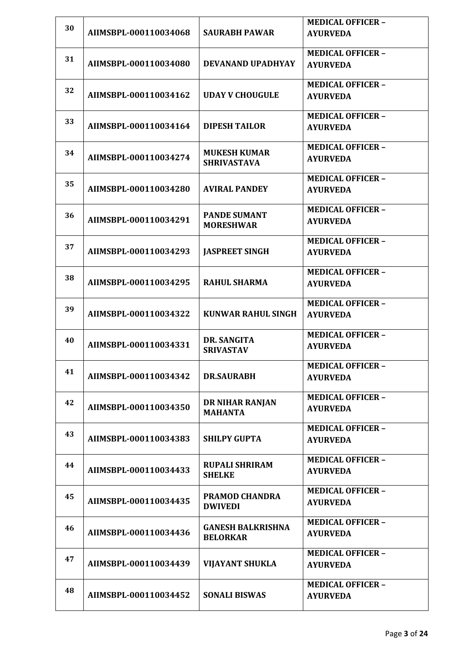|    |                       |                                             | <b>MEDICAL OFFICER -</b>                    |
|----|-----------------------|---------------------------------------------|---------------------------------------------|
| 30 | AIIMSBPL-000110034068 | <b>SAURABH PAWAR</b>                        | <b>AYURVEDA</b>                             |
| 31 |                       |                                             | <b>MEDICAL OFFICER -</b>                    |
|    | AIIMSBPL-000110034080 | DEVANAND UPADHYAY                           | <b>AYURVEDA</b>                             |
| 32 |                       |                                             | <b>MEDICAL OFFICER -</b>                    |
|    | AIIMSBPL-000110034162 | <b>UDAY V CHOUGULE</b>                      | <b>AYURVEDA</b>                             |
| 33 |                       |                                             | <b>MEDICAL OFFICER -</b>                    |
|    | AIIMSBPL-000110034164 | <b>DIPESH TAILOR</b>                        | <b>AYURVEDA</b>                             |
| 34 |                       | <b>MUKESH KUMAR</b>                         | <b>MEDICAL OFFICER -</b>                    |
|    | AIIMSBPL-000110034274 | <b>SHRIVASTAVA</b>                          | <b>AYURVEDA</b>                             |
|    |                       |                                             | <b>MEDICAL OFFICER -</b>                    |
| 35 | AIIMSBPL-000110034280 | <b>AVIRAL PANDEY</b>                        | <b>AYURVEDA</b>                             |
|    |                       | <b>PANDE SUMANT</b>                         | <b>MEDICAL OFFICER -</b>                    |
| 36 | AIIMSBPL-000110034291 | <b>MORESHWAR</b>                            | <b>AYURVEDA</b>                             |
|    |                       |                                             | <b>MEDICAL OFFICER -</b>                    |
| 37 | AIIMSBPL-000110034293 | <b>JASPREET SINGH</b>                       | <b>AYURVEDA</b>                             |
|    |                       |                                             |                                             |
| 38 |                       |                                             | <b>MEDICAL OFFICER -</b>                    |
|    | AIIMSBPL-000110034295 | <b>RAHUL SHARMA</b>                         | <b>AYURVEDA</b>                             |
| 39 |                       |                                             | <b>MEDICAL OFFICER -</b>                    |
|    | AIIMSBPL-000110034322 | <b>KUNWAR RAHUL SINGH</b>                   | <b>AYURVEDA</b>                             |
|    |                       |                                             | <b>MEDICAL OFFICER -</b>                    |
| 40 | AIIMSBPL-000110034331 | <b>DR. SANGITA</b><br><b>SRIVASTAV</b>      | <b>AYURVEDA</b>                             |
|    |                       |                                             |                                             |
| 41 | AIIMSBPL-000110034342 | <b>DR.SAURABH</b>                           | <b>MEDICAL OFFICER -</b><br><b>AYURVEDA</b> |
|    |                       |                                             |                                             |
| 42 |                       | DR NIHAR RANJAN                             | <b>MEDICAL OFFICER -</b>                    |
|    | AIIMSBPL-000110034350 | <b>MAHANTA</b>                              | <b>AYURVEDA</b>                             |
|    |                       |                                             | <b>MEDICAL OFFICER -</b>                    |
| 43 | AIIMSBPL-000110034383 | <b>SHILPY GUPTA</b>                         | <b>AYURVEDA</b>                             |
|    |                       |                                             |                                             |
| 44 | AIIMSBPL-000110034433 | <b>RUPALI SHRIRAM</b>                       | <b>MEDICAL OFFICER -</b><br><b>AYURVEDA</b> |
|    |                       | <b>SHELKE</b>                               |                                             |
| 45 |                       | <b>PRAMOD CHANDRA</b>                       | <b>MEDICAL OFFICER -</b>                    |
|    | AIIMSBPL-000110034435 | <b>DWIVEDI</b>                              | <b>AYURVEDA</b>                             |
|    |                       |                                             | <b>MEDICAL OFFICER -</b>                    |
| 46 | AIIMSBPL-000110034436 | <b>GANESH BALKRISHNA</b><br><b>BELORKAR</b> | <b>AYURVEDA</b>                             |
|    |                       |                                             | <b>MEDICAL OFFICER -</b>                    |
| 47 | AIIMSBPL-000110034439 | <b>VIJAYANT SHUKLA</b>                      | <b>AYURVEDA</b>                             |
|    |                       |                                             |                                             |
| 48 |                       |                                             | <b>MEDICAL OFFICER -</b>                    |
|    | AIIMSBPL-000110034452 | <b>SONALI BISWAS</b>                        | <b>AYURVEDA</b>                             |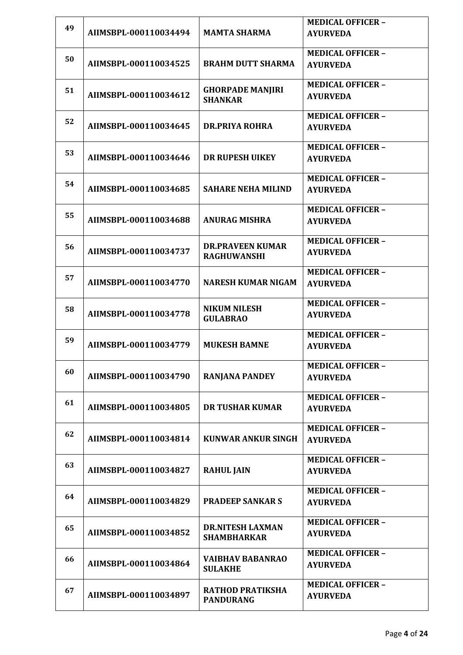| 49 |                       |                           | <b>MEDICAL OFFICER -</b> |
|----|-----------------------|---------------------------|--------------------------|
|    | AIIMSBPL-000110034494 | <b>MAMTA SHARMA</b>       | <b>AYURVEDA</b>          |
| 50 |                       |                           | <b>MEDICAL OFFICER -</b> |
|    | AIIMSBPL-000110034525 | <b>BRAHM DUTT SHARMA</b>  | <b>AYURVEDA</b>          |
| 51 |                       | <b>GHORPADE MANJIRI</b>   | <b>MEDICAL OFFICER -</b> |
|    | AIIMSBPL-000110034612 | <b>SHANKAR</b>            | <b>AYURVEDA</b>          |
| 52 |                       |                           | <b>MEDICAL OFFICER -</b> |
|    | AIIMSBPL-000110034645 | <b>DR.PRIYA ROHRA</b>     | <b>AYURVEDA</b>          |
| 53 |                       |                           | <b>MEDICAL OFFICER -</b> |
|    | AIIMSBPL-000110034646 | <b>DR RUPESH UIKEY</b>    | <b>AYURVEDA</b>          |
| 54 |                       |                           | <b>MEDICAL OFFICER -</b> |
|    | AIIMSBPL-000110034685 | <b>SAHARE NEHA MILIND</b> | <b>AYURVEDA</b>          |
| 55 |                       |                           | <b>MEDICAL OFFICER -</b> |
|    | AIIMSBPL-000110034688 | <b>ANURAG MISHRA</b>      | <b>AYURVEDA</b>          |
| 56 |                       | <b>DR.PRAVEEN KUMAR</b>   | <b>MEDICAL OFFICER -</b> |
|    | AIIMSBPL-000110034737 | <b>RAGHUWANSHI</b>        | <b>AYURVEDA</b>          |
| 57 |                       |                           | <b>MEDICAL OFFICER -</b> |
|    | AIIMSBPL-000110034770 | <b>NARESH KUMAR NIGAM</b> | <b>AYURVEDA</b>          |
| 58 |                       | <b>NIKUM NILESH</b>       | <b>MEDICAL OFFICER -</b> |
|    | AIIMSBPL-000110034778 | <b>GULABRAO</b>           | <b>AYURVEDA</b>          |
| 59 |                       |                           | <b>MEDICAL OFFICER -</b> |
|    | AIIMSBPL-000110034779 | <b>MUKESH BAMNE</b>       | <b>AYURVEDA</b>          |
| 60 |                       |                           | <b>MEDICAL OFFICER -</b> |
|    | AIIMSBPL-000110034790 | <b>RANJANA PANDEY</b>     | <b>AYURVEDA</b>          |
| 61 |                       |                           | <b>MEDICAL OFFICER -</b> |
|    | AIIMSBPL-000110034805 | <b>DR TUSHAR KUMAR</b>    | <b>AYURVEDA</b>          |
| 62 |                       |                           | <b>MEDICAL OFFICER -</b> |
|    | AIIMSBPL-000110034814 | <b>KUNWAR ANKUR SINGH</b> | <b>AYURVEDA</b>          |
| 63 |                       |                           | <b>MEDICAL OFFICER -</b> |
|    | AIIMSBPL-000110034827 | <b>RAHUL JAIN</b>         | <b>AYURVEDA</b>          |
| 64 |                       |                           | <b>MEDICAL OFFICER -</b> |
|    | AIIMSBPL-000110034829 | <b>PRADEEP SANKARS</b>    | <b>AYURVEDA</b>          |
| 65 |                       | <b>DR.NITESH LAXMAN</b>   | <b>MEDICAL OFFICER -</b> |
|    | AIIMSBPL-000110034852 | <b>SHAMBHARKAR</b>        | <b>AYURVEDA</b>          |
| 66 |                       | <b>VAIBHAV BABANRAO</b>   | <b>MEDICAL OFFICER -</b> |
|    | AIIMSBPL-000110034864 | <b>SULAKHE</b>            | <b>AYURVEDA</b>          |
| 67 |                       | <b>RATHOD PRATIKSHA</b>   | <b>MEDICAL OFFICER -</b> |
|    | AIIMSBPL-000110034897 | <b>PANDURANG</b>          | <b>AYURVEDA</b>          |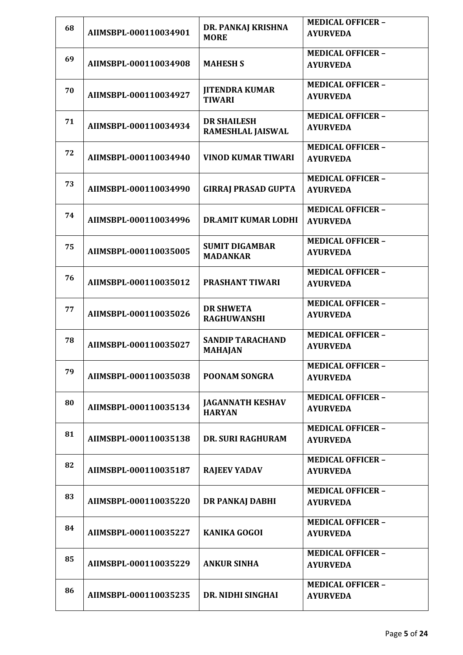| 68 | AIIMSBPL-000110034901 | DR. PANKAJ KRISHNA<br><b>MORE</b>         | <b>MEDICAL OFFICER -</b><br><b>AYURVEDA</b> |
|----|-----------------------|-------------------------------------------|---------------------------------------------|
| 69 | AIIMSBPL-000110034908 | <b>MAHESH S</b>                           | <b>MEDICAL OFFICER -</b><br><b>AYURVEDA</b> |
| 70 | AIIMSBPL-000110034927 | <b>JITENDRA KUMAR</b><br><b>TIWARI</b>    | <b>MEDICAL OFFICER -</b><br><b>AYURVEDA</b> |
| 71 | AIIMSBPL-000110034934 | <b>DR SHAILESH</b><br>RAMESHLAL JAISWAL   | <b>MEDICAL OFFICER -</b><br><b>AYURVEDA</b> |
| 72 | AIIMSBPL-000110034940 | <b>VINOD KUMAR TIWARI</b>                 | <b>MEDICAL OFFICER -</b><br><b>AYURVEDA</b> |
| 73 | AIIMSBPL-000110034990 | <b>GIRRAJ PRASAD GUPTA</b>                | <b>MEDICAL OFFICER -</b><br><b>AYURVEDA</b> |
| 74 | AIIMSBPL-000110034996 | <b>DR.AMIT KUMAR LODHI</b>                | <b>MEDICAL OFFICER -</b><br><b>AYURVEDA</b> |
| 75 | AIIMSBPL-000110035005 | <b>SUMIT DIGAMBAR</b><br><b>MADANKAR</b>  | <b>MEDICAL OFFICER -</b><br><b>AYURVEDA</b> |
| 76 | AIIMSBPL-000110035012 | <b>PRASHANT TIWARI</b>                    | <b>MEDICAL OFFICER -</b><br><b>AYURVEDA</b> |
| 77 | AIIMSBPL-000110035026 | <b>DR SHWETA</b><br><b>RAGHUWANSHI</b>    | <b>MEDICAL OFFICER -</b><br><b>AYURVEDA</b> |
| 78 | AIIMSBPL-000110035027 | <b>SANDIP TARACHAND</b><br><b>MAHAJAN</b> | <b>MEDICAL OFFICER -</b><br><b>AYURVEDA</b> |
| 79 | AIIMSBPL-000110035038 | <b>POONAM SONGRA</b>                      | <b>MEDICAL OFFICER -</b><br><b>AYURVEDA</b> |
| 80 | AIIMSBPL-000110035134 | <b>JAGANNATH KESHAV</b><br><b>HARYAN</b>  | <b>MEDICAL OFFICER -</b><br><b>AYURVEDA</b> |
| 81 | AIIMSBPL-000110035138 | <b>DR. SURI RAGHURAM</b>                  | <b>MEDICAL OFFICER -</b><br><b>AYURVEDA</b> |
| 82 | AIIMSBPL-000110035187 | <b>RAJEEV YADAV</b>                       | <b>MEDICAL OFFICER -</b><br><b>AYURVEDA</b> |
| 83 | AIIMSBPL-000110035220 | DR PANKAJ DABHI                           | <b>MEDICAL OFFICER -</b><br><b>AYURVEDA</b> |
| 84 | AIIMSBPL-000110035227 | <b>KANIKA GOGOI</b>                       | <b>MEDICAL OFFICER -</b><br><b>AYURVEDA</b> |
| 85 | AIIMSBPL-000110035229 | <b>ANKUR SINHA</b>                        | <b>MEDICAL OFFICER -</b><br><b>AYURVEDA</b> |
| 86 | AIIMSBPL-000110035235 | DR. NIDHI SINGHAI                         | <b>MEDICAL OFFICER -</b><br><b>AYURVEDA</b> |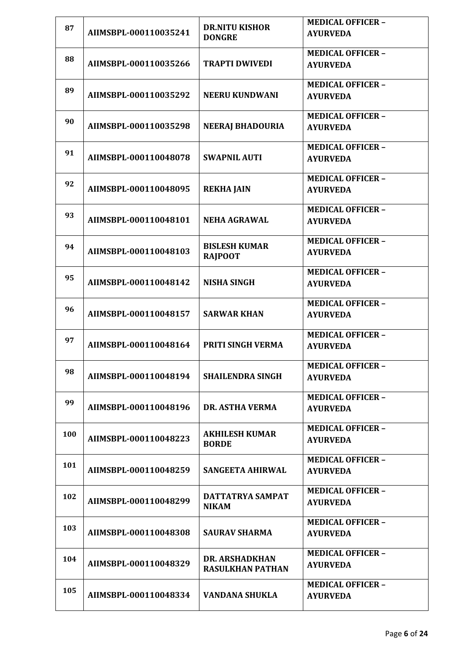| 87  | AIIMSBPL-000110035241 | <b>DR.NITU KISHOR</b><br><b>DONGRE</b>    | <b>MEDICAL OFFICER -</b><br><b>AYURVEDA</b> |
|-----|-----------------------|-------------------------------------------|---------------------------------------------|
| 88  | AIIMSBPL-000110035266 | <b>TRAPTI DWIVEDI</b>                     | <b>MEDICAL OFFICER -</b><br><b>AYURVEDA</b> |
| 89  | AIIMSBPL-000110035292 | <b>NEERU KUNDWANI</b>                     | <b>MEDICAL OFFICER -</b><br><b>AYURVEDA</b> |
| 90  | AIIMSBPL-000110035298 | <b>NEERAJ BHADOURIA</b>                   | <b>MEDICAL OFFICER -</b><br><b>AYURVEDA</b> |
| 91  | AIIMSBPL-000110048078 | <b>SWAPNIL AUTI</b>                       | <b>MEDICAL OFFICER -</b><br><b>AYURVEDA</b> |
| 92  | AIIMSBPL-000110048095 | <b>REKHA JAIN</b>                         | <b>MEDICAL OFFICER -</b><br><b>AYURVEDA</b> |
| 93  | AIIMSBPL-000110048101 | <b>NEHA AGRAWAL</b>                       | <b>MEDICAL OFFICER -</b><br><b>AYURVEDA</b> |
| 94  | AIIMSBPL-000110048103 | <b>BISLESH KUMAR</b><br><b>RAJPOOT</b>    | <b>MEDICAL OFFICER -</b><br><b>AYURVEDA</b> |
| 95  | AIIMSBPL-000110048142 | <b>NISHA SINGH</b>                        | <b>MEDICAL OFFICER -</b><br><b>AYURVEDA</b> |
| 96  | AIIMSBPL-000110048157 | <b>SARWAR KHAN</b>                        | <b>MEDICAL OFFICER -</b><br><b>AYURVEDA</b> |
| 97  | AIIMSBPL-000110048164 | PRITI SINGH VERMA                         | <b>MEDICAL OFFICER -</b><br><b>AYURVEDA</b> |
| 98  | AIIMSBPL-000110048194 | <b>SHAILENDRA SINGH</b>                   | <b>MEDICAL OFFICER -</b><br><b>AYURVEDA</b> |
| 99  | AIIMSBPL-000110048196 | <b>DR. ASTHA VERMA</b>                    | <b>MEDICAL OFFICER -</b><br><b>AYURVEDA</b> |
| 100 | AIIMSBPL-000110048223 | <b>AKHILESH KUMAR</b><br><b>BORDE</b>     | <b>MEDICAL OFFICER -</b><br><b>AYURVEDA</b> |
| 101 | AIIMSBPL-000110048259 | <b>SANGEETA AHIRWAL</b>                   | <b>MEDICAL OFFICER -</b><br><b>AYURVEDA</b> |
| 102 | AIIMSBPL-000110048299 | DATTATRYA SAMPAT<br><b>NIKAM</b>          | <b>MEDICAL OFFICER -</b><br><b>AYURVEDA</b> |
| 103 | AIIMSBPL-000110048308 | <b>SAURAV SHARMA</b>                      | <b>MEDICAL OFFICER -</b><br><b>AYURVEDA</b> |
| 104 | AIIMSBPL-000110048329 | DR. ARSHADKHAN<br><b>RASULKHAN PATHAN</b> | <b>MEDICAL OFFICER -</b><br><b>AYURVEDA</b> |
| 105 | AIIMSBPL-000110048334 | <b>VANDANA SHUKLA</b>                     | <b>MEDICAL OFFICER -</b><br><b>AYURVEDA</b> |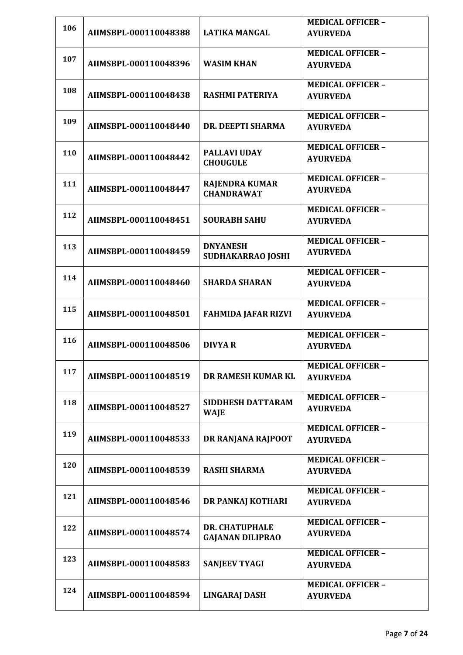|     |                       |                            | <b>MEDICAL OFFICER -</b> |
|-----|-----------------------|----------------------------|--------------------------|
| 106 | AIIMSBPL-000110048388 | <b>LATIKA MANGAL</b>       | <b>AYURVEDA</b>          |
| 107 |                       |                            | <b>MEDICAL OFFICER -</b> |
|     | AIIMSBPL-000110048396 | <b>WASIM KHAN</b>          | <b>AYURVEDA</b>          |
| 108 |                       |                            | <b>MEDICAL OFFICER -</b> |
|     | AIIMSBPL-000110048438 | <b>RASHMI PATERIYA</b>     | <b>AYURVEDA</b>          |
|     |                       |                            | <b>MEDICAL OFFICER -</b> |
| 109 | AIIMSBPL-000110048440 | <b>DR. DEEPTI SHARMA</b>   | <b>AYURVEDA</b>          |
| 110 |                       | PALLAVI UDAY               | <b>MEDICAL OFFICER -</b> |
|     | AIIMSBPL-000110048442 | <b>CHOUGULE</b>            | <b>AYURVEDA</b>          |
| 111 |                       | <b>RAJENDRA KUMAR</b>      | <b>MEDICAL OFFICER -</b> |
|     | AIIMSBPL-000110048447 | <b>CHANDRAWAT</b>          | <b>AYURVEDA</b>          |
| 112 |                       |                            | <b>MEDICAL OFFICER -</b> |
|     | AIIMSBPL-000110048451 | <b>SOURABH SAHU</b>        | <b>AYURVEDA</b>          |
| 113 |                       | <b>DNYANESH</b>            | <b>MEDICAL OFFICER -</b> |
|     | AIIMSBPL-000110048459 | <b>SUDHAKARRAO JOSHI</b>   | <b>AYURVEDA</b>          |
| 114 |                       |                            | <b>MEDICAL OFFICER -</b> |
|     | AIIMSBPL-000110048460 | <b>SHARDA SHARAN</b>       | <b>AYURVEDA</b>          |
| 115 |                       |                            | <b>MEDICAL OFFICER -</b> |
|     | AIIMSBPL-000110048501 | <b>FAHMIDA JAFAR RIZVI</b> | <b>AYURVEDA</b>          |
| 116 |                       |                            | <b>MEDICAL OFFICER -</b> |
|     | AIIMSBPL-000110048506 | <b>DIVYAR</b>              | <b>AYURVEDA</b>          |
| 117 |                       |                            | <b>MEDICAL OFFICER -</b> |
|     | AIIMSBPL-000110048519 | <b>DR RAMESH KUMAR KL</b>  | <b>AYURVEDA</b>          |
| 118 |                       | <b>SIDDHESH DATTARAM</b>   | <b>MEDICAL OFFICER -</b> |
|     | AIIMSBPL-000110048527 | <b>WAJE</b>                | <b>AYURVEDA</b>          |
| 119 |                       |                            | <b>MEDICAL OFFICER -</b> |
|     | AIIMSBPL-000110048533 | DR RANJANA RAJPOOT         | <b>AYURVEDA</b>          |
| 120 |                       |                            | <b>MEDICAL OFFICER -</b> |
|     | AIIMSBPL-000110048539 | <b>RASHI SHARMA</b>        | <b>AYURVEDA</b>          |
| 121 |                       |                            | <b>MEDICAL OFFICER -</b> |
|     | AIIMSBPL-000110048546 | DR PANKAJ KOTHARI          | <b>AYURVEDA</b>          |
| 122 |                       | <b>DR. CHATUPHALE</b>      | <b>MEDICAL OFFICER -</b> |
|     | AIIMSBPL-000110048574 | <b>GAJANAN DILIPRAO</b>    | <b>AYURVEDA</b>          |
| 123 |                       |                            | <b>MEDICAL OFFICER -</b> |
|     | AIIMSBPL-000110048583 | <b>SANJEEV TYAGI</b>       | <b>AYURVEDA</b>          |
| 124 |                       |                            | <b>MEDICAL OFFICER -</b> |
|     | AIIMSBPL-000110048594 | <b>LINGARAJ DASH</b>       | <b>AYURVEDA</b>          |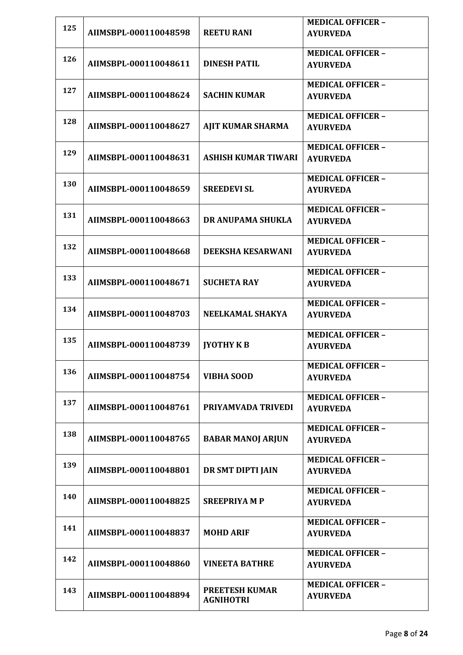|     |                       |                            | <b>MEDICAL OFFICER -</b> |
|-----|-----------------------|----------------------------|--------------------------|
| 125 | AIIMSBPL-000110048598 | <b>REETU RANI</b>          | <b>AYURVEDA</b>          |
| 126 |                       |                            | <b>MEDICAL OFFICER -</b> |
|     | AIIMSBPL-000110048611 | <b>DINESH PATIL</b>        | <b>AYURVEDA</b>          |
|     |                       |                            | <b>MEDICAL OFFICER -</b> |
| 127 | AIIMSBPL-000110048624 | <b>SACHIN KUMAR</b>        | <b>AYURVEDA</b>          |
|     |                       |                            | <b>MEDICAL OFFICER -</b> |
| 128 | AIIMSBPL-000110048627 | <b>AJIT KUMAR SHARMA</b>   | <b>AYURVEDA</b>          |
|     |                       |                            | <b>MEDICAL OFFICER -</b> |
| 129 | AIIMSBPL-000110048631 | <b>ASHISH KUMAR TIWARI</b> | <b>AYURVEDA</b>          |
|     |                       |                            | <b>MEDICAL OFFICER -</b> |
| 130 | AIIMSBPL-000110048659 | <b>SREEDEVI SL</b>         | <b>AYURVEDA</b>          |
|     |                       |                            | <b>MEDICAL OFFICER -</b> |
| 131 | AIIMSBPL-000110048663 | DR ANUPAMA SHUKLA          | <b>AYURVEDA</b>          |
|     |                       |                            | <b>MEDICAL OFFICER -</b> |
| 132 | AIIMSBPL-000110048668 | <b>DEEKSHA KESARWANI</b>   | <b>AYURVEDA</b>          |
|     |                       |                            | <b>MEDICAL OFFICER -</b> |
| 133 | AIIMSBPL-000110048671 | <b>SUCHETA RAY</b>         | <b>AYURVEDA</b>          |
|     |                       |                            | <b>MEDICAL OFFICER -</b> |
| 134 | AIIMSBPL-000110048703 | NEELKAMAL SHAKYA           | <b>AYURVEDA</b>          |
|     |                       |                            | <b>MEDICAL OFFICER -</b> |
| 135 | AIIMSBPL-000110048739 | <b>JYOTHY K B</b>          | <b>AYURVEDA</b>          |
|     |                       |                            | <b>MEDICAL OFFICER -</b> |
| 136 | AIIMSBPL-000110048754 | <b>VIBHA SOOD</b>          | <b>AYURVEDA</b>          |
|     |                       |                            | <b>MEDICAL OFFICER -</b> |
| 137 | AIIMSBPL-000110048761 | PRIYAMVADA TRIVEDI         | <b>AYURVEDA</b>          |
|     |                       |                            |                          |
| 138 |                       |                            | <b>MEDICAL OFFICER -</b> |
|     | AIIMSBPL-000110048765 | <b>BABAR MANOJ ARJUN</b>   | <b>AYURVEDA</b>          |
| 139 |                       |                            | <b>MEDICAL OFFICER -</b> |
|     | AIIMSBPL-000110048801 | DR SMT DIPTI JAIN          | <b>AYURVEDA</b>          |
|     |                       |                            | <b>MEDICAL OFFICER -</b> |
| 140 | AIIMSBPL-000110048825 | <b>SREEPRIYA MP</b>        | <b>AYURVEDA</b>          |
|     |                       |                            | <b>MEDICAL OFFICER -</b> |
| 141 | AIIMSBPL-000110048837 | <b>MOHD ARIF</b>           | <b>AYURVEDA</b>          |
|     |                       |                            | <b>MEDICAL OFFICER -</b> |
| 142 | AIIMSBPL-000110048860 | <b>VINEETA BATHRE</b>      | <b>AYURVEDA</b>          |
|     |                       |                            | <b>MEDICAL OFFICER -</b> |
| 143 | AIIMSBPL-000110048894 | <b>PREETESH KUMAR</b>      | <b>AYURVEDA</b>          |
|     |                       | <b>AGNIHOTRI</b>           |                          |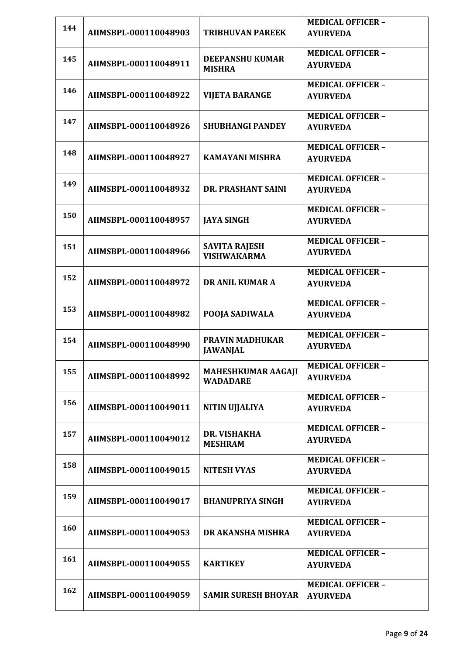| 144 |                       |                                            | <b>MEDICAL OFFICER -</b> |
|-----|-----------------------|--------------------------------------------|--------------------------|
|     | AIIMSBPL-000110048903 | <b>TRIBHUVAN PAREEK</b>                    | <b>AYURVEDA</b>          |
| 145 |                       |                                            | <b>MEDICAL OFFICER -</b> |
|     | AIIMSBPL-000110048911 | <b>DEEPANSHU KUMAR</b><br><b>MISHRA</b>    | <b>AYURVEDA</b>          |
|     |                       |                                            | <b>MEDICAL OFFICER -</b> |
| 146 | AIIMSBPL-000110048922 | <b>VIJETA BARANGE</b>                      | <b>AYURVEDA</b>          |
|     |                       |                                            | <b>MEDICAL OFFICER -</b> |
| 147 | AIIMSBPL-000110048926 | <b>SHUBHANGI PANDEY</b>                    | <b>AYURVEDA</b>          |
|     |                       |                                            | <b>MEDICAL OFFICER -</b> |
| 148 | AIIMSBPL-000110048927 | <b>KAMAYANI MISHRA</b>                     | <b>AYURVEDA</b>          |
|     |                       |                                            | <b>MEDICAL OFFICER -</b> |
| 149 | AIIMSBPL-000110048932 | <b>DR. PRASHANT SAINI</b>                  | <b>AYURVEDA</b>          |
|     |                       |                                            | <b>MEDICAL OFFICER -</b> |
| 150 | AIIMSBPL-000110048957 | <b>JAYA SINGH</b>                          | <b>AYURVEDA</b>          |
|     |                       |                                            | <b>MEDICAL OFFICER -</b> |
| 151 | AIIMSBPL-000110048966 | <b>SAVITA RAJESH</b><br><b>VISHWAKARMA</b> | <b>AYURVEDA</b>          |
|     |                       |                                            | <b>MEDICAL OFFICER -</b> |
| 152 | AIIMSBPL-000110048972 | DR ANIL KUMAR A                            | <b>AYURVEDA</b>          |
|     |                       |                                            | <b>MEDICAL OFFICER -</b> |
| 153 | AIIMSBPL-000110048982 | POOJA SADIWALA                             | <b>AYURVEDA</b>          |
|     |                       |                                            | <b>MEDICAL OFFICER -</b> |
| 154 | AIIMSBPL-000110048990 | <b>PRAVIN MADHUKAR</b><br><b>JAWANJAL</b>  | <b>AYURVEDA</b>          |
|     |                       |                                            |                          |
| 155 |                       | <b>MAHESHKUMAR AAGAJI</b>                  | <b>MEDICAL OFFICER -</b> |
|     | AIIMSBPL-000110048992 | <b>WADADARE</b>                            | <b>AYURVEDA</b>          |
| 156 |                       |                                            | <b>MEDICAL OFFICER -</b> |
|     | AIIMSBPL-000110049011 | <b>NITIN UJJALIYA</b>                      | <b>AYURVEDA</b>          |
|     |                       |                                            | <b>MEDICAL OFFICER -</b> |
| 157 | AIIMSBPL-000110049012 | <b>DR. VISHAKHA</b><br><b>MESHRAM</b>      | <b>AYURVEDA</b>          |
|     |                       |                                            | <b>MEDICAL OFFICER -</b> |
| 158 | AIIMSBPL-000110049015 | <b>NITESH VYAS</b>                         | <b>AYURVEDA</b>          |
|     |                       |                                            | <b>MEDICAL OFFICER -</b> |
| 159 | AIIMSBPL-000110049017 | <b>BHANUPRIYA SINGH</b>                    | <b>AYURVEDA</b>          |
|     |                       |                                            | <b>MEDICAL OFFICER -</b> |
| 160 | AIIMSBPL-000110049053 | DR AKANSHA MISHRA                          | <b>AYURVEDA</b>          |
|     |                       |                                            |                          |
| 161 |                       |                                            | <b>MEDICAL OFFICER -</b> |
|     | AIIMSBPL-000110049055 | <b>KARTIKEY</b>                            | <b>AYURVEDA</b>          |
|     |                       |                                            | <b>MEDICAL OFFICER -</b> |
| 162 | AIIMSBPL-000110049059 | <b>SAMIR SURESH BHOYAR</b>                 | <b>AYURVEDA</b>          |
|     |                       |                                            |                          |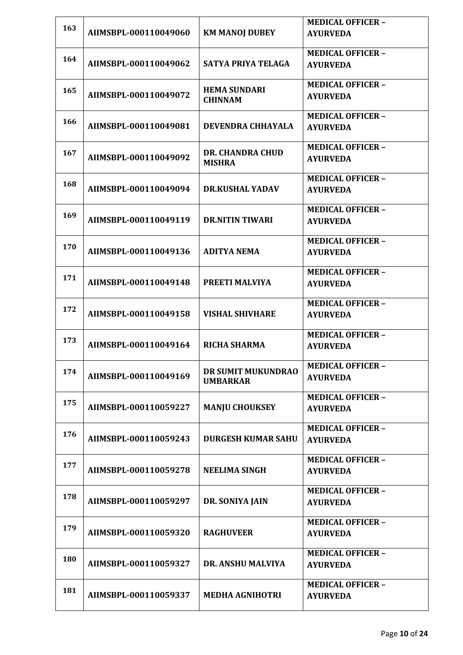| 163 |                       |                                       | <b>MEDICAL OFFICER -</b> |
|-----|-----------------------|---------------------------------------|--------------------------|
|     | AIIMSBPL-000110049060 | <b>KM MANOJ DUBEY</b>                 | <b>AYURVEDA</b>          |
| 164 |                       |                                       | <b>MEDICAL OFFICER -</b> |
|     | AIIMSBPL-000110049062 | SATYA PRIYA TELAGA                    | <b>AYURVEDA</b>          |
|     |                       |                                       | <b>MEDICAL OFFICER -</b> |
| 165 | AIIMSBPL-000110049072 | <b>HEMA SUNDARI</b><br><b>CHINNAM</b> | <b>AYURVEDA</b>          |
| 166 |                       |                                       | <b>MEDICAL OFFICER -</b> |
|     | AIIMSBPL-000110049081 | DEVENDRA CHHAYALA                     | <b>AYURVEDA</b>          |
| 167 |                       | <b>DR. CHANDRA CHUD</b>               | <b>MEDICAL OFFICER -</b> |
|     | AIIMSBPL-000110049092 | <b>MISHRA</b>                         | <b>AYURVEDA</b>          |
| 168 |                       |                                       | <b>MEDICAL OFFICER -</b> |
|     | AIIMSBPL-000110049094 | <b>DR.KUSHAL YADAV</b>                | <b>AYURVEDA</b>          |
| 169 |                       |                                       | <b>MEDICAL OFFICER -</b> |
|     | AIIMSBPL-000110049119 | <b>DR.NITIN TIWARI</b>                | <b>AYURVEDA</b>          |
| 170 |                       |                                       | <b>MEDICAL OFFICER -</b> |
|     | AIIMSBPL-000110049136 | <b>ADITYA NEMA</b>                    | <b>AYURVEDA</b>          |
|     |                       |                                       | <b>MEDICAL OFFICER -</b> |
| 171 | AIIMSBPL-000110049148 | PREETI MALVIYA                        | <b>AYURVEDA</b>          |
| 172 |                       |                                       | <b>MEDICAL OFFICER -</b> |
|     | AIIMSBPL-000110049158 | <b>VISHAL SHIVHARE</b>                | <b>AYURVEDA</b>          |
|     |                       |                                       | <b>MEDICAL OFFICER -</b> |
| 173 | AIIMSBPL-000110049164 | <b>RICHA SHARMA</b>                   | <b>AYURVEDA</b>          |
| 174 |                       | DR SUMIT MUKUNDRAO                    | <b>MEDICAL OFFICER -</b> |
|     | AIIMSBPL-000110049169 | <b>UMBARKAR</b>                       | <b>AYURVEDA</b>          |
| 175 |                       |                                       | <b>MEDICAL OFFICER -</b> |
|     | AIIMSBPL-000110059227 | <b>MANJU CHOUKSEY</b>                 | <b>AYURVEDA</b>          |
| 176 |                       |                                       | <b>MEDICAL OFFICER -</b> |
|     | AIIMSBPL-000110059243 | <b>DURGESH KUMAR SAHU</b>             | <b>AYURVEDA</b>          |
| 177 |                       |                                       | <b>MEDICAL OFFICER -</b> |
|     | AIIMSBPL-000110059278 | <b>NEELIMA SINGH</b>                  | <b>AYURVEDA</b>          |
| 178 |                       |                                       | <b>MEDICAL OFFICER -</b> |
|     | AIIMSBPL-000110059297 | DR. SONIYA JAIN                       | <b>AYURVEDA</b>          |
| 179 |                       |                                       | <b>MEDICAL OFFICER -</b> |
|     | AIIMSBPL-000110059320 | <b>RAGHUVEER</b>                      | <b>AYURVEDA</b>          |
| 180 |                       |                                       | <b>MEDICAL OFFICER -</b> |
|     | AIIMSBPL-000110059327 | <b>DR. ANSHU MALVIYA</b>              | <b>AYURVEDA</b>          |
| 181 |                       |                                       | <b>MEDICAL OFFICER -</b> |
|     | AIIMSBPL-000110059337 | <b>MEDHA AGNIHOTRI</b>                | <b>AYURVEDA</b>          |
|     |                       |                                       |                          |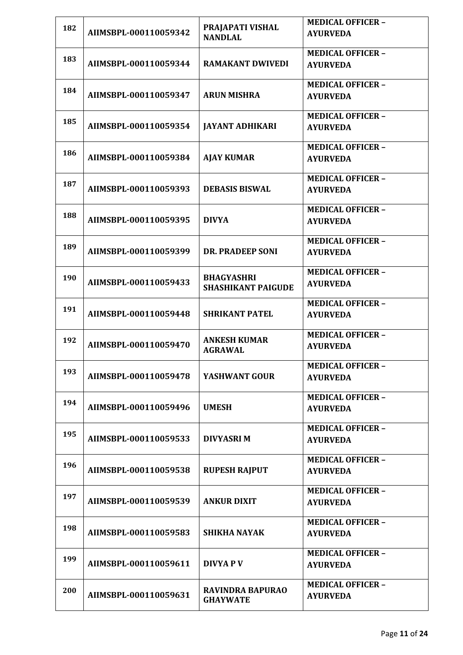| 182 | AIIMSBPL-000110059342 | PRAJAPATI VISHAL          | <b>MEDICAL OFFICER -</b><br><b>AYURVEDA</b> |
|-----|-----------------------|---------------------------|---------------------------------------------|
|     |                       | <b>NANDLAL</b>            |                                             |
| 183 | AIIMSBPL-000110059344 | <b>RAMAKANT DWIVEDI</b>   | <b>MEDICAL OFFICER -</b><br><b>AYURVEDA</b> |
|     |                       |                           |                                             |
| 184 | AIIMSBPL-000110059347 | <b>ARUN MISHRA</b>        | <b>MEDICAL OFFICER -</b><br><b>AYURVEDA</b> |
|     |                       |                           |                                             |
| 185 | AIIMSBPL-000110059354 | <b>JAYANT ADHIKARI</b>    | <b>MEDICAL OFFICER -</b><br><b>AYURVEDA</b> |
|     |                       |                           |                                             |
| 186 | AIIMSBPL-000110059384 | <b>AJAY KUMAR</b>         | <b>MEDICAL OFFICER -</b><br><b>AYURVEDA</b> |
|     |                       |                           |                                             |
| 187 | AIIMSBPL-000110059393 | <b>DEBASIS BISWAL</b>     | <b>MEDICAL OFFICER -</b><br><b>AYURVEDA</b> |
|     |                       |                           |                                             |
| 188 | AIIMSBPL-000110059395 | <b>DIVYA</b>              | <b>MEDICAL OFFICER -</b><br><b>AYURVEDA</b> |
|     |                       |                           |                                             |
| 189 | AIIMSBPL-000110059399 | <b>DR. PRADEEP SONI</b>   | <b>MEDICAL OFFICER -</b>                    |
|     |                       |                           | <b>AYURVEDA</b>                             |
| 190 | AIIMSBPL-000110059433 | <b>BHAGYASHRI</b>         | <b>MEDICAL OFFICER -</b>                    |
|     |                       | <b>SHASHIKANT PAIGUDE</b> | <b>AYURVEDA</b>                             |
| 191 | AIIMSBPL-000110059448 |                           | <b>MEDICAL OFFICER -</b>                    |
|     |                       | <b>SHRIKANT PATEL</b>     | <b>AYURVEDA</b>                             |
| 192 |                       | <b>ANKESH KUMAR</b>       | <b>MEDICAL OFFICER -</b>                    |
|     | AIIMSBPL-000110059470 | <b>AGRAWAL</b>            | <b>AYURVEDA</b>                             |
| 193 |                       |                           | <b>MEDICAL OFFICER -</b>                    |
|     | AIIMSBPL-000110059478 | YASHWANT GOUR             | <b>AYURVEDA</b>                             |
| 194 |                       |                           | <b>MEDICAL OFFICER -</b>                    |
|     | AIIMSBPL-000110059496 | <b>UMESH</b>              | <b>AYURVEDA</b>                             |
| 195 |                       |                           | <b>MEDICAL OFFICER -</b>                    |
|     | AIIMSBPL-000110059533 | <b>DIVYASRIM</b>          | <b>AYURVEDA</b>                             |
| 196 |                       |                           | <b>MEDICAL OFFICER -</b>                    |
|     | AIIMSBPL-000110059538 | <b>RUPESH RAJPUT</b>      | <b>AYURVEDA</b>                             |
| 197 |                       |                           | <b>MEDICAL OFFICER -</b>                    |
|     | AIIMSBPL-000110059539 | <b>ANKUR DIXIT</b>        | <b>AYURVEDA</b>                             |
| 198 |                       |                           | <b>MEDICAL OFFICER -</b>                    |
|     | AIIMSBPL-000110059583 | <b>SHIKHA NAYAK</b>       | <b>AYURVEDA</b>                             |
| 199 |                       |                           | <b>MEDICAL OFFICER -</b>                    |
|     | AIIMSBPL-000110059611 | DIVYA P V                 | <b>AYURVEDA</b>                             |
| 200 |                       | <b>RAVINDRA BAPURAO</b>   | <b>MEDICAL OFFICER -</b>                    |
|     | AIIMSBPL-000110059631 | <b>GHAYWATE</b>           | <b>AYURVEDA</b>                             |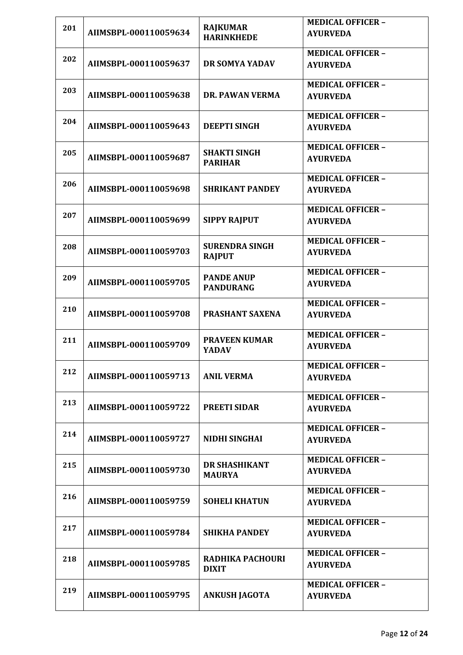| 201 | AIIMSBPL-000110059634 | <b>RAJKUMAR</b>        | <b>MEDICAL OFFICER -</b><br><b>AYURVEDA</b> |
|-----|-----------------------|------------------------|---------------------------------------------|
|     |                       | <b>HARINKHEDE</b>      |                                             |
| 202 | AIIMSBPL-000110059637 | DR SOMYA YADAV         | <b>MEDICAL OFFICER -</b><br><b>AYURVEDA</b> |
|     |                       |                        |                                             |
| 203 | AIIMSBPL-000110059638 | <b>DR. PAWAN VERMA</b> | <b>MEDICAL OFFICER -</b><br><b>AYURVEDA</b> |
|     |                       |                        |                                             |
| 204 | AIIMSBPL-000110059643 | <b>DEEPTI SINGH</b>    | <b>MEDICAL OFFICER -</b><br><b>AYURVEDA</b> |
|     |                       |                        |                                             |
| 205 | AIIMSBPL-000110059687 | <b>SHAKTI SINGH</b>    | <b>MEDICAL OFFICER -</b><br><b>AYURVEDA</b> |
|     |                       | <b>PARIHAR</b>         |                                             |
| 206 | AIIMSBPL-000110059698 | <b>SHRIKANT PANDEY</b> | <b>MEDICAL OFFICER -</b><br><b>AYURVEDA</b> |
|     |                       |                        |                                             |
| 207 | AIIMSBPL-000110059699 | <b>SIPPY RAJPUT</b>    | <b>MEDICAL OFFICER -</b><br><b>AYURVEDA</b> |
|     |                       |                        |                                             |
| 208 | AIIMSBPL-000110059703 | <b>SURENDRA SINGH</b>  | <b>MEDICAL OFFICER -</b><br><b>AYURVEDA</b> |
|     |                       | <b>RAJPUT</b>          |                                             |
| 209 | AIIMSBPL-000110059705 | <b>PANDE ANUP</b>      | <b>MEDICAL OFFICER -</b>                    |
|     |                       | <b>PANDURANG</b>       | <b>AYURVEDA</b>                             |
| 210 | AIIMSBPL-000110059708 | <b>PRASHANT SAXENA</b> | <b>MEDICAL OFFICER -</b>                    |
|     |                       |                        | <b>AYURVEDA</b>                             |
| 211 | AIIMSBPL-000110059709 | <b>PRAVEEN KUMAR</b>   | <b>MEDICAL OFFICER -</b>                    |
|     |                       | <b>YADAV</b>           | <b>AYURVEDA</b>                             |
| 212 |                       |                        | <b>MEDICAL OFFICER -</b>                    |
|     | AIIMSBPL-000110059713 | <b>ANIL VERMA</b>      | <b>AYURVEDA</b>                             |
| 213 |                       |                        | <b>MEDICAL OFFICER -</b>                    |
|     | AIIMSBPL-000110059722 | <b>PREETI SIDAR</b>    | <b>AYURVEDA</b>                             |
| 214 |                       |                        | <b>MEDICAL OFFICER -</b>                    |
|     | AIIMSBPL-000110059727 | <b>NIDHI SINGHAI</b>   | <b>AYURVEDA</b>                             |
| 215 |                       | <b>DR SHASHIKANT</b>   | <b>MEDICAL OFFICER -</b>                    |
|     | AIIMSBPL-000110059730 | <b>MAURYA</b>          | <b>AYURVEDA</b>                             |
| 216 |                       |                        | <b>MEDICAL OFFICER -</b>                    |
|     | AIIMSBPL-000110059759 | <b>SOHELI KHATUN</b>   | <b>AYURVEDA</b>                             |
| 217 |                       |                        | <b>MEDICAL OFFICER -</b>                    |
|     | AIIMSBPL-000110059784 | <b>SHIKHA PANDEY</b>   | <b>AYURVEDA</b>                             |
| 218 |                       | RADHIKA PACHOURI       | <b>MEDICAL OFFICER -</b>                    |
|     | AIIMSBPL-000110059785 | <b>DIXIT</b>           | <b>AYURVEDA</b>                             |
| 219 |                       |                        | <b>MEDICAL OFFICER -</b>                    |
|     | AIIMSBPL-000110059795 | <b>ANKUSH JAGOTA</b>   | <b>AYURVEDA</b>                             |
|     |                       |                        |                                             |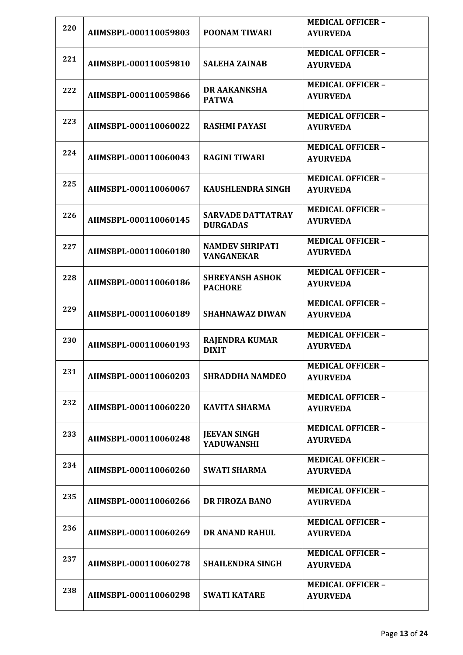|     |                       |                                     | <b>MEDICAL OFFICER -</b>                    |
|-----|-----------------------|-------------------------------------|---------------------------------------------|
| 220 | AIIMSBPL-000110059803 | <b>POONAM TIWARI</b>                | <b>AYURVEDA</b>                             |
|     |                       |                                     | <b>MEDICAL OFFICER -</b>                    |
| 221 | AIIMSBPL-000110059810 | <b>SALEHA ZAINAB</b>                | <b>AYURVEDA</b>                             |
|     |                       |                                     | <b>MEDICAL OFFICER -</b>                    |
| 222 | AIIMSBPL-000110059866 | <b>DR AAKANKSHA</b><br><b>PATWA</b> | <b>AYURVEDA</b>                             |
|     |                       |                                     | <b>MEDICAL OFFICER -</b>                    |
| 223 | AIIMSBPL-000110060022 | <b>RASHMI PAYASI</b>                | <b>AYURVEDA</b>                             |
|     |                       |                                     | <b>MEDICAL OFFICER -</b>                    |
| 224 | AIIMSBPL-000110060043 | <b>RAGINI TIWARI</b>                | <b>AYURVEDA</b>                             |
| 225 |                       |                                     | <b>MEDICAL OFFICER -</b>                    |
|     | AIIMSBPL-000110060067 | <b>KAUSHLENDRA SINGH</b>            | <b>AYURVEDA</b>                             |
| 226 |                       | <b>SARVADE DATTATRAY</b>            | <b>MEDICAL OFFICER -</b>                    |
|     | AIIMSBPL-000110060145 | <b>DURGADAS</b>                     | <b>AYURVEDA</b>                             |
| 227 |                       | <b>NAMDEV SHRIPATI</b>              | <b>MEDICAL OFFICER -</b>                    |
|     | AIIMSBPL-000110060180 | <b>VANGANEKAR</b>                   | <b>AYURVEDA</b>                             |
| 228 |                       | <b>SHREYANSH ASHOK</b>              | <b>MEDICAL OFFICER -</b>                    |
|     | AIIMSBPL-000110060186 | <b>PACHORE</b>                      | <b>AYURVEDA</b>                             |
| 229 |                       |                                     | <b>MEDICAL OFFICER -</b>                    |
|     | AIIMSBPL-000110060189 | <b>SHAHNAWAZ DIWAN</b>              | <b>AYURVEDA</b>                             |
| 230 |                       | <b>RAJENDRA KUMAR</b>               | <b>MEDICAL OFFICER -</b>                    |
|     | AIIMSBPL-000110060193 | <b>DIXIT</b>                        | <b>AYURVEDA</b>                             |
| 231 |                       |                                     | <b>MEDICAL OFFICER -</b>                    |
|     | AIIMSBPL-000110060203 | <b>SHRADDHA NAMDEO</b>              | <b>AYURVEDA</b>                             |
| 232 |                       |                                     | <b>MEDICAL OFFICER -</b>                    |
|     | AIIMSBPL-000110060220 | <b>KAVITA SHARMA</b>                | <b>AYURVEDA</b>                             |
| 233 |                       | <b>JEEVAN SINGH</b>                 | <b>MEDICAL OFFICER -</b>                    |
|     | AIIMSBPL-000110060248 | <b>YADUWANSHI</b>                   | <b>AYURVEDA</b>                             |
|     |                       |                                     | <b>MEDICAL OFFICER -</b>                    |
| 234 | AIIMSBPL-000110060260 | <b>SWATI SHARMA</b>                 | <b>AYURVEDA</b>                             |
|     |                       |                                     | <b>MEDICAL OFFICER -</b>                    |
| 235 | AIIMSBPL-000110060266 | <b>DR FIROZA BANO</b>               | <b>AYURVEDA</b>                             |
|     |                       |                                     | <b>MEDICAL OFFICER -</b>                    |
| 236 | AIIMSBPL-000110060269 | <b>DR ANAND RAHUL</b>               | <b>AYURVEDA</b>                             |
|     |                       |                                     | <b>MEDICAL OFFICER -</b>                    |
| 237 | AIIMSBPL-000110060278 | <b>SHAILENDRA SINGH</b>             | <b>AYURVEDA</b>                             |
|     |                       |                                     |                                             |
| 238 | AIIMSBPL-000110060298 | <b>SWATI KATARE</b>                 | <b>MEDICAL OFFICER -</b><br><b>AYURVEDA</b> |
|     |                       |                                     |                                             |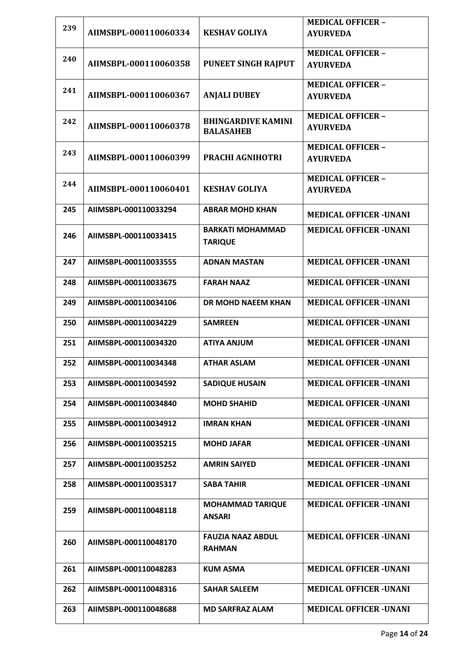| 239 |                       |                                           | <b>MEDICAL OFFICER -</b>      |
|-----|-----------------------|-------------------------------------------|-------------------------------|
|     | AIIMSBPL-000110060334 | <b>KESHAV GOLIYA</b>                      | <b>AYURVEDA</b>               |
|     |                       |                                           | <b>MEDICAL OFFICER -</b>      |
| 240 | AIIMSBPL-000110060358 | PUNEET SINGH RAJPUT                       | <b>AYURVEDA</b>               |
| 241 |                       |                                           | <b>MEDICAL OFFICER -</b>      |
|     | AIIMSBPL-000110060367 | <b>ANJALI DUBEY</b>                       | <b>AYURVEDA</b>               |
| 242 |                       | <b>BHINGARDIVE KAMINI</b>                 | <b>MEDICAL OFFICER -</b>      |
|     | AIIMSBPL-000110060378 | <b>BALASAHEB</b>                          | <b>AYURVEDA</b>               |
| 243 |                       |                                           | <b>MEDICAL OFFICER -</b>      |
|     | AIIMSBPL-000110060399 | PRACHI AGNIHOTRI                          | <b>AYURVEDA</b>               |
| 244 |                       |                                           | <b>MEDICAL OFFICER -</b>      |
|     | AIIMSBPL-000110060401 | <b>KESHAV GOLIYA</b>                      | <b>AYURVEDA</b>               |
| 245 | AIIMSBPL-000110033294 | <b>ABRAR MOHD KHAN</b>                    | <b>MEDICAL OFFICER -UNANI</b> |
| 246 | AIIMSBPL-000110033415 | <b>BARKATI MOHAMMAD</b>                   | <b>MEDICAL OFFICER -UNANI</b> |
|     |                       | <b>TARIQUE</b>                            |                               |
| 247 | AIIMSBPL-000110033555 | <b>ADNAN MASTAN</b>                       | <b>MEDICAL OFFICER -UNANI</b> |
| 248 | AIIMSBPL-000110033675 | <b>FARAH NAAZ</b>                         | <b>MEDICAL OFFICER -UNANI</b> |
| 249 | AIIMSBPL-000110034106 | DR MOHD NAEEM KHAN                        | <b>MEDICAL OFFICER -UNANI</b> |
| 250 | AIIMSBPL-000110034229 | <b>SAMREEN</b>                            | <b>MEDICAL OFFICER -UNANI</b> |
| 251 | AIIMSBPL-000110034320 | <b>ATIYA ANJUM</b>                        | <b>MEDICAL OFFICER -UNANI</b> |
| 252 | AIIMSBPL-000110034348 | ATHAR ASLAM                               | <b>MEDICAL OFFICER -UNANI</b> |
| 253 | AIIMSBPL-000110034592 | <b>SADIQUE HUSAIN</b>                     | <b>MEDICAL OFFICER -UNANI</b> |
| 254 | AIIMSBPL-000110034840 | <b>MOHD SHAHID</b>                        | <b>MEDICAL OFFICER -UNANI</b> |
| 255 | AIIMSBPL-000110034912 | <b>IMRAN KHAN</b>                         | <b>MEDICAL OFFICER -UNANI</b> |
| 256 | AIIMSBPL-000110035215 | <b>MOHD JAFAR</b>                         | <b>MEDICAL OFFICER -UNANI</b> |
| 257 | AIIMSBPL-000110035252 | <b>AMRIN SAIYED</b>                       | <b>MEDICAL OFFICER -UNANI</b> |
| 258 | AIIMSBPL-000110035317 | <b>SABA TAHIR</b>                         | <b>MEDICAL OFFICER -UNANI</b> |
| 259 | AIIMSBPL-000110048118 | <b>MOHAMMAD TARIQUE</b><br><b>ANSARI</b>  | <b>MEDICAL OFFICER -UNANI</b> |
|     |                       |                                           |                               |
| 260 | AIIMSBPL-000110048170 | <b>FAUZIA NAAZ ABDUL</b><br><b>RAHMAN</b> | <b>MEDICAL OFFICER -UNANI</b> |
| 261 | AIIMSBPL-000110048283 | <b>KUM ASMA</b>                           | <b>MEDICAL OFFICER -UNANI</b> |
| 262 | AIIMSBPL-000110048316 | <b>SAHAR SALEEM</b>                       | <b>MEDICAL OFFICER -UNANI</b> |
|     |                       |                                           |                               |
| 263 | AIIMSBPL-000110048688 | <b>MD SARFRAZ ALAM</b>                    | <b>MEDICAL OFFICER -UNANI</b> |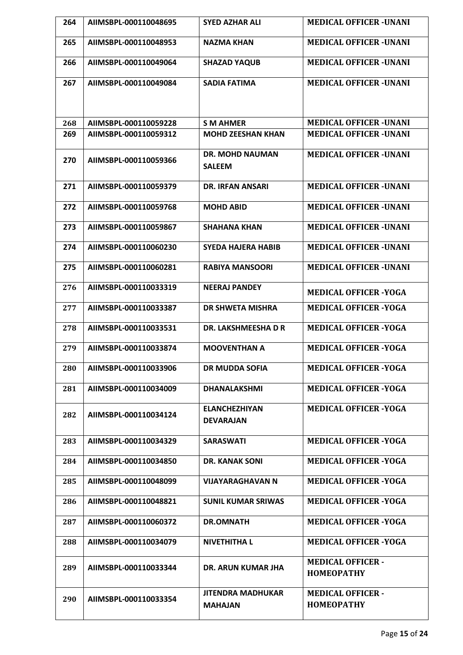| 264 | AIIMSBPL-000110048695 | <b>SYED AZHAR ALI</b>                      | <b>MEDICAL OFFICER -UNANI</b>                 |
|-----|-----------------------|--------------------------------------------|-----------------------------------------------|
| 265 | AIIMSBPL-000110048953 | <b>NAZMA KHAN</b>                          | <b>MEDICAL OFFICER -UNANI</b>                 |
| 266 | AIIMSBPL-000110049064 | <b>SHAZAD YAQUB</b>                        | <b>MEDICAL OFFICER -UNANI</b>                 |
| 267 | AIIMSBPL-000110049084 | <b>SADIA FATIMA</b>                        | <b>MEDICAL OFFICER -UNANI</b>                 |
| 268 | AIIMSBPL-000110059228 | <b>S M AHMER</b>                           | <b>MEDICAL OFFICER -UNANI</b>                 |
| 269 | AIIMSBPL-000110059312 | <b>MOHD ZEESHAN KHAN</b>                   | <b>MEDICAL OFFICER -UNANI</b>                 |
| 270 | AIIMSBPL-000110059366 | <b>DR. MOHD NAUMAN</b><br><b>SALEEM</b>    | <b>MEDICAL OFFICER -UNANI</b>                 |
| 271 | AIIMSBPL-000110059379 | <b>DR. IRFAN ANSARI</b>                    | <b>MEDICAL OFFICER -UNANI</b>                 |
| 272 | AIIMSBPL-000110059768 | <b>MOHD ABID</b>                           | <b>MEDICAL OFFICER -UNANI</b>                 |
| 273 | AIIMSBPL-000110059867 | <b>SHAHANA KHAN</b>                        | <b>MEDICAL OFFICER -UNANI</b>                 |
| 274 | AIIMSBPL-000110060230 | <b>SYEDA HAJERA HABIB</b>                  | <b>MEDICAL OFFICER -UNANI</b>                 |
| 275 | AIIMSBPL-000110060281 | <b>RABIYA MANSOORI</b>                     | <b>MEDICAL OFFICER -UNANI</b>                 |
| 276 | AIIMSBPL-000110033319 | <b>NEERAJ PANDEY</b>                       | <b>MEDICAL OFFICER -YOGA</b>                  |
| 277 | AIIMSBPL-000110033387 | <b>DR SHWETA MISHRA</b>                    | <b>MEDICAL OFFICER -YOGA</b>                  |
| 278 | AIIMSBPL-000110033531 | DR. LAKSHMEESHA DR                         | <b>MEDICAL OFFICER -YOGA</b>                  |
| 279 | AIIMSBPL-000110033874 | <b>MOOVENTHAN A</b>                        | <b>MEDICAL OFFICER -YOGA</b>                  |
| 280 | AIIMSBPL-000110033906 | <b>DR MUDDA SOFIA</b>                      | <b>MEDICAL OFFICER -YOGA</b>                  |
| 281 | AIIMSBPL-000110034009 | <b>DHANALAKSHMI</b>                        | <b>MEDICAL OFFICER -YOGA</b>                  |
| 282 | AIIMSBPL-000110034124 | <b>ELANCHEZHIYAN</b>                       | <b>MEDICAL OFFICER -YOGA</b>                  |
|     |                       | <b>DEVARAJAN</b>                           |                                               |
| 283 | AIIMSBPL-000110034329 | <b>SARASWATI</b>                           | <b>MEDICAL OFFICER -YOGA</b>                  |
| 284 | AIIMSBPL-000110034850 | <b>DR. KANAK SONI</b>                      | <b>MEDICAL OFFICER -YOGA</b>                  |
| 285 | AIIMSBPL-000110048099 | <b>VIJAYARAGHAVAN N</b>                    | <b>MEDICAL OFFICER -YOGA</b>                  |
| 286 | AIIMSBPL-000110048821 | <b>SUNIL KUMAR SRIWAS</b>                  | <b>MEDICAL OFFICER -YOGA</b>                  |
| 287 | AIIMSBPL-000110060372 | <b>DR.OMNATH</b>                           | <b>MEDICAL OFFICER -YOGA</b>                  |
| 288 | AIIMSBPL-000110034079 | <b>NIVETHITHA L</b>                        | <b>MEDICAL OFFICER -YOGA</b>                  |
| 289 | AIIMSBPL-000110033344 | DR. ARUN KUMAR JHA                         | <b>MEDICAL OFFICER -</b><br><b>HOMEOPATHY</b> |
| 290 | AIIMSBPL-000110033354 | <b>JITENDRA MADHUKAR</b><br><b>MAHAJAN</b> | <b>MEDICAL OFFICER -</b><br><b>HOMEOPATHY</b> |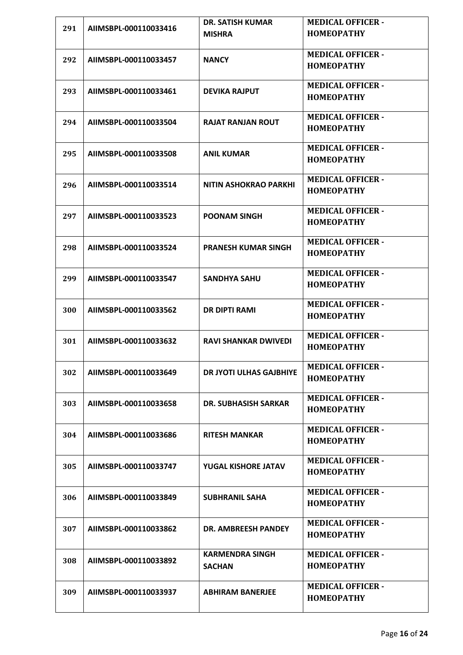|     |                       | <b>DR. SATISH KUMAR</b>        | <b>MEDICAL OFFICER -</b>                      |
|-----|-----------------------|--------------------------------|-----------------------------------------------|
| 291 | AIIMSBPL-000110033416 | <b>MISHRA</b>                  | <b>HOMEOPATHY</b>                             |
| 292 | AIIMSBPL-000110033457 | <b>NANCY</b>                   | <b>MEDICAL OFFICER -</b><br><b>HOMEOPATHY</b> |
|     |                       |                                |                                               |
| 293 | AIIMSBPL-000110033461 | <b>DEVIKA RAJPUT</b>           | <b>MEDICAL OFFICER -</b>                      |
|     |                       |                                | <b>HOMEOPATHY</b>                             |
| 294 | AIIMSBPL-000110033504 | <b>RAJAT RANJAN ROUT</b>       | <b>MEDICAL OFFICER -</b>                      |
|     |                       |                                | <b>HOMEOPATHY</b>                             |
|     |                       |                                | <b>MEDICAL OFFICER -</b>                      |
| 295 | AIIMSBPL-000110033508 | <b>ANIL KUMAR</b>              | <b>HOMEOPATHY</b>                             |
|     |                       |                                | <b>MEDICAL OFFICER -</b>                      |
| 296 | AIIMSBPL-000110033514 | <b>NITIN ASHOKRAO PARKHI</b>   | <b>HOMEOPATHY</b>                             |
|     |                       |                                | <b>MEDICAL OFFICER -</b>                      |
| 297 | AIIMSBPL-000110033523 | <b>POONAM SINGH</b>            | <b>HOMEOPATHY</b>                             |
|     |                       |                                | <b>MEDICAL OFFICER -</b>                      |
| 298 | AIIMSBPL-000110033524 | <b>PRANESH KUMAR SINGH</b>     | <b>HOMEOPATHY</b>                             |
|     |                       |                                | <b>MEDICAL OFFICER -</b>                      |
| 299 | AIIMSBPL-000110033547 | <b>SANDHYA SAHU</b>            | <b>HOMEOPATHY</b>                             |
|     |                       |                                | <b>MEDICAL OFFICER -</b>                      |
| 300 | AIIMSBPL-000110033562 | <b>DR DIPTI RAMI</b>           | <b>HOMEOPATHY</b>                             |
|     |                       |                                |                                               |
| 301 | AIIMSBPL-000110033632 | <b>RAVI SHANKAR DWIVEDI</b>    | <b>MEDICAL OFFICER -</b><br><b>HOMEOPATHY</b> |
|     |                       |                                |                                               |
| 302 | AIIMSBPL-000110033649 | <b>DR JYOTI ULHAS GAJBHIYE</b> | <b>MEDICAL OFFICER -</b><br><b>HOMEOPATHY</b> |
|     |                       |                                |                                               |
| 303 | AIIMSBPL-000110033658 | <b>DR. SUBHASISH SARKAR</b>    | <b>MEDICAL OFFICER -</b>                      |
|     |                       |                                | <b>HOMEOPATHY</b>                             |
| 304 | AIIMSBPL-000110033686 | <b>RITESH MANKAR</b>           | <b>MEDICAL OFFICER -</b>                      |
|     |                       |                                | <b>HOMEOPATHY</b>                             |
| 305 | AIIMSBPL-000110033747 | YUGAL KISHORE JATAV            | <b>MEDICAL OFFICER -</b>                      |
|     |                       |                                | <b>HOMEOPATHY</b>                             |
| 306 | AIIMSBPL-000110033849 | <b>SUBHRANIL SAHA</b>          | <b>MEDICAL OFFICER -</b>                      |
|     |                       |                                | <b>HOMEOPATHY</b>                             |
| 307 | AIIMSBPL-000110033862 | <b>DR. AMBREESH PANDEY</b>     | <b>MEDICAL OFFICER -</b>                      |
|     |                       |                                | <b>HOMEOPATHY</b>                             |
|     |                       | <b>KARMENDRA SINGH</b>         | <b>MEDICAL OFFICER -</b>                      |
| 308 | AIIMSBPL-000110033892 | <b>SACHAN</b>                  | <b>HOMEOPATHY</b>                             |
|     |                       |                                | <b>MEDICAL OFFICER -</b>                      |
| 309 | AIIMSBPL-000110033937 | <b>ABHIRAM BANERJEE</b>        | <b>HOMEOPATHY</b>                             |
|     |                       |                                |                                               |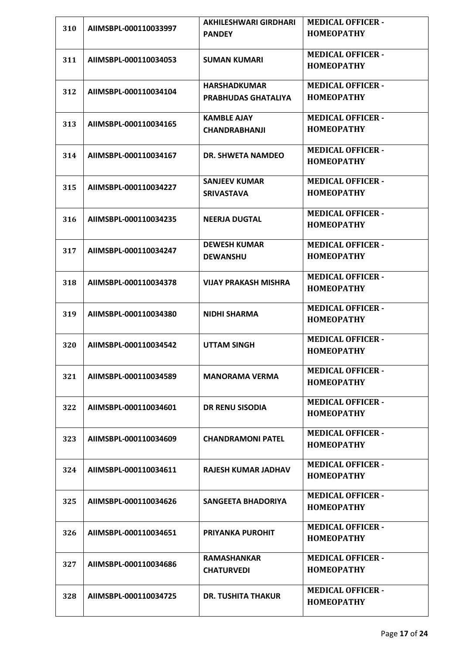| 310 | AIIMSBPL-000110033997 | <b>AKHILESHWARI GIRDHARI</b>            | <b>MEDICAL OFFICER -</b>                      |
|-----|-----------------------|-----------------------------------------|-----------------------------------------------|
|     |                       | <b>PANDEY</b>                           | <b>HOMEOPATHY</b>                             |
| 311 | AIIMSBPL-000110034053 | <b>SUMAN KUMARI</b>                     | <b>MEDICAL OFFICER -</b>                      |
|     |                       |                                         | <b>HOMEOPATHY</b>                             |
| 312 | AIIMSBPL-000110034104 | <b>HARSHADKUMAR</b>                     | <b>MEDICAL OFFICER -</b>                      |
|     |                       | <b>PRABHUDAS GHATALIYA</b>              | <b>HOMEOPATHY</b>                             |
| 313 | AIIMSBPL-000110034165 | <b>KAMBLE AJAY</b>                      | <b>MEDICAL OFFICER -</b>                      |
|     |                       | <b>CHANDRABHANJI</b>                    | <b>HOMEOPATHY</b>                             |
| 314 | AIIMSBPL-000110034167 | <b>DR. SHWETA NAMDEO</b>                | <b>MEDICAL OFFICER -</b>                      |
|     |                       |                                         | <b>HOMEOPATHY</b>                             |
| 315 | AIIMSBPL-000110034227 | <b>SANJEEV KUMAR</b>                    | <b>MEDICAL OFFICER -</b>                      |
|     |                       | <b>SRIVASTAVA</b>                       | <b>HOMEOPATHY</b>                             |
| 316 | AIIMSBPL-000110034235 | <b>NEERJA DUGTAL</b>                    | <b>MEDICAL OFFICER -</b>                      |
|     |                       |                                         | <b>HOMEOPATHY</b>                             |
| 317 | AIIMSBPL-000110034247 | <b>DEWESH KUMAR</b>                     | <b>MEDICAL OFFICER -</b>                      |
|     |                       | <b>DEWANSHU</b>                         | <b>HOMEOPATHY</b>                             |
| 318 | AIIMSBPL-000110034378 | <b>VIJAY PRAKASH MISHRA</b>             | <b>MEDICAL OFFICER -</b>                      |
|     |                       |                                         | <b>HOMEOPATHY</b>                             |
| 319 | AIIMSBPL-000110034380 | <b>NIDHI SHARMA</b>                     | <b>MEDICAL OFFICER -</b>                      |
|     |                       |                                         | <b>HOMEOPATHY</b>                             |
| 320 | AIIMSBPL-000110034542 | <b>UTTAM SINGH</b>                      | <b>MEDICAL OFFICER -</b>                      |
|     |                       |                                         | <b>HOMEOPATHY</b>                             |
| 321 | AIIMSBPL-000110034589 | <b>MANORAMA VERMA</b>                   | <b>MEDICAL OFFICER -</b>                      |
|     |                       |                                         | <b>HOMEOPATHY</b>                             |
| 322 | AIIMSBPL-000110034601 | <b>DR RENU SISODIA</b>                  | <b>MEDICAL OFFICER -</b>                      |
|     |                       |                                         | <b>HOMEOPATHY</b>                             |
| 323 | AIIMSBPL-000110034609 | <b>CHANDRAMONI PATEL</b>                | <b>MEDICAL OFFICER -</b>                      |
|     |                       |                                         | <b>HOMEOPATHY</b>                             |
| 324 | AIIMSBPL-000110034611 | RAJESH KUMAR JADHAV                     | <b>MEDICAL OFFICER -</b>                      |
|     |                       |                                         | <b>HOMEOPATHY</b>                             |
| 325 | AIIMSBPL-000110034626 | SANGEETA BHADORIYA                      | <b>MEDICAL OFFICER -</b><br><b>HOMEOPATHY</b> |
|     |                       |                                         |                                               |
| 326 | AIIMSBPL-000110034651 | <b>PRIYANKA PUROHIT</b>                 | <b>MEDICAL OFFICER -</b><br><b>HOMEOPATHY</b> |
|     |                       |                                         |                                               |
| 327 | AIIMSBPL-000110034686 | <b>RAMASHANKAR</b><br><b>CHATURVEDI</b> | <b>MEDICAL OFFICER -</b><br><b>HOMEOPATHY</b> |
|     |                       |                                         |                                               |
| 328 | AIIMSBPL-000110034725 | <b>DR. TUSHITA THAKUR</b>               | <b>MEDICAL OFFICER -</b><br><b>HOMEOPATHY</b> |
|     |                       |                                         |                                               |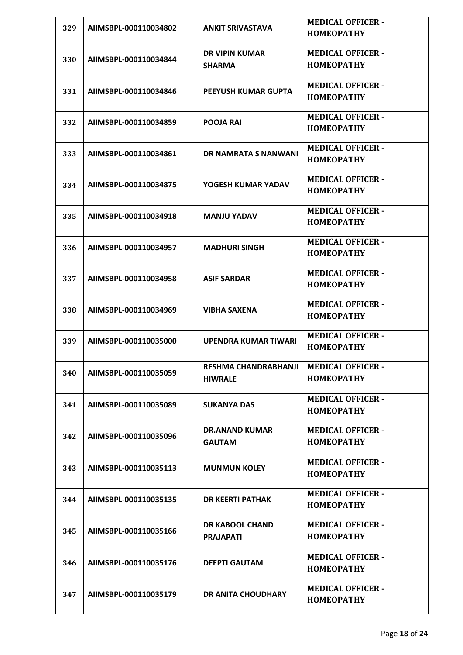| 329 | AIIMSBPL-000110034802 | <b>ANKIT SRIVASTAVA</b>                       | <b>MEDICAL OFFICER -</b><br><b>HOMEOPATHY</b> |
|-----|-----------------------|-----------------------------------------------|-----------------------------------------------|
| 330 | AIIMSBPL-000110034844 | <b>DR VIPIN KUMAR</b><br><b>SHARMA</b>        | <b>MEDICAL OFFICER -</b><br><b>HOMEOPATHY</b> |
| 331 | AIIMSBPL-000110034846 | PEEYUSH KUMAR GUPTA                           | <b>MEDICAL OFFICER -</b><br><b>HOMEOPATHY</b> |
| 332 | AIIMSBPL-000110034859 | <b>POOJA RAI</b>                              | <b>MEDICAL OFFICER -</b><br><b>HOMEOPATHY</b> |
| 333 | AIIMSBPL-000110034861 | DR NAMRATA S NANWANI                          | <b>MEDICAL OFFICER -</b><br><b>HOMEOPATHY</b> |
| 334 | AIIMSBPL-000110034875 | YOGESH KUMAR YADAV                            | <b>MEDICAL OFFICER -</b><br><b>HOMEOPATHY</b> |
| 335 | AIIMSBPL-000110034918 | <b>MANJU YADAV</b>                            | <b>MEDICAL OFFICER -</b><br><b>HOMEOPATHY</b> |
| 336 | AIIMSBPL-000110034957 | <b>MADHURI SINGH</b>                          | <b>MEDICAL OFFICER -</b><br><b>HOMEOPATHY</b> |
| 337 | AIIMSBPL-000110034958 | <b>ASIF SARDAR</b>                            | <b>MEDICAL OFFICER -</b><br><b>HOMEOPATHY</b> |
| 338 | AIIMSBPL-000110034969 | <b>VIBHA SAXENA</b>                           | <b>MEDICAL OFFICER -</b><br><b>HOMEOPATHY</b> |
| 339 | AIIMSBPL-000110035000 | <b>UPENDRA KUMAR TIWARI</b>                   | <b>MEDICAL OFFICER -</b><br><b>HOMEOPATHY</b> |
| 340 | AIIMSBPL-000110035059 | <b>RESHMA CHANDRABHANJI</b><br><b>HIWRALE</b> | <b>MEDICAL OFFICER -</b><br><b>HOMEOPATHY</b> |
| 341 | AIIMSBPL-000110035089 | <b>SUKANYA DAS</b>                            | <b>MEDICAL OFFICER -</b><br><b>HOMEOPATHY</b> |
| 342 | AIIMSBPL-000110035096 | <b>DR.ANAND KUMAR</b><br><b>GAUTAM</b>        | <b>MEDICAL OFFICER -</b><br><b>HOMEOPATHY</b> |
| 343 | AIIMSBPL-000110035113 | <b>MUNMUN KOLEY</b>                           | <b>MEDICAL OFFICER -</b><br><b>HOMEOPATHY</b> |
| 344 | AIIMSBPL-000110035135 | <b>DR KEERTI PATHAK</b>                       | <b>MEDICAL OFFICER -</b><br><b>HOMEOPATHY</b> |
| 345 | AIIMSBPL-000110035166 | <b>DR KABOOL CHAND</b><br><b>PRAJAPATI</b>    | <b>MEDICAL OFFICER -</b><br><b>HOMEOPATHY</b> |
| 346 | AIIMSBPL-000110035176 | <b>DEEPTI GAUTAM</b>                          | <b>MEDICAL OFFICER -</b><br><b>HOMEOPATHY</b> |
| 347 | AIIMSBPL-000110035179 | <b>DR ANITA CHOUDHARY</b>                     | <b>MEDICAL OFFICER -</b><br><b>HOMEOPATHY</b> |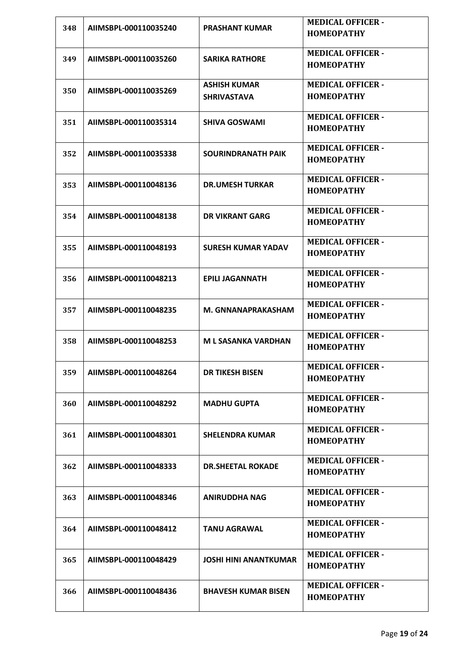| 348 | AIIMSBPL-000110035240 | <b>PRASHANT KUMAR</b>                     | <b>MEDICAL OFFICER -</b><br><b>HOMEOPATHY</b> |
|-----|-----------------------|-------------------------------------------|-----------------------------------------------|
| 349 | AIIMSBPL-000110035260 | <b>SARIKA RATHORE</b>                     | <b>MEDICAL OFFICER -</b><br><b>HOMEOPATHY</b> |
| 350 | AIIMSBPL-000110035269 | <b>ASHISH KUMAR</b><br><b>SHRIVASTAVA</b> | <b>MEDICAL OFFICER -</b><br><b>HOMEOPATHY</b> |
| 351 | AIIMSBPL-000110035314 | <b>SHIVA GOSWAMI</b>                      | <b>MEDICAL OFFICER -</b><br><b>HOMEOPATHY</b> |
| 352 | AIIMSBPL-000110035338 | <b>SOURINDRANATH PAIK</b>                 | <b>MEDICAL OFFICER -</b><br><b>HOMEOPATHY</b> |
| 353 | AIIMSBPL-000110048136 | <b>DR.UMESH TURKAR</b>                    | <b>MEDICAL OFFICER -</b><br><b>HOMEOPATHY</b> |
| 354 | AIIMSBPL-000110048138 | <b>DR VIKRANT GARG</b>                    | <b>MEDICAL OFFICER -</b><br><b>HOMEOPATHY</b> |
| 355 | AIIMSBPL-000110048193 | <b>SURESH KUMAR YADAV</b>                 | <b>MEDICAL OFFICER -</b><br><b>HOMEOPATHY</b> |
| 356 | AIIMSBPL-000110048213 | <b>EPILI JAGANNATH</b>                    | <b>MEDICAL OFFICER -</b><br><b>HOMEOPATHY</b> |
| 357 | AIIMSBPL-000110048235 | M. GNNANAPRAKASHAM                        | <b>MEDICAL OFFICER -</b><br><b>HOMEOPATHY</b> |
| 358 | AIIMSBPL-000110048253 | <b>ML SASANKA VARDHAN</b>                 | <b>MEDICAL OFFICER -</b><br><b>HOMEOPATHY</b> |
| 359 | AIIMSBPL-000110048264 | <b>DR TIKESH BISEN</b>                    | <b>MEDICAL OFFICER -</b><br><b>HOMEOPATHY</b> |
| 360 | AIIMSBPL-000110048292 | <b>MADHU GUPTA</b>                        | <b>MEDICAL OFFICER -</b><br><b>HOMEOPATHY</b> |
| 361 | AIIMSBPL-000110048301 | <b>SHELENDRA KUMAR</b>                    | <b>MEDICAL OFFICER -</b><br><b>HOMEOPATHY</b> |
| 362 | AIIMSBPL-000110048333 | <b>DR.SHEETAL ROKADE</b>                  | <b>MEDICAL OFFICER -</b><br><b>HOMEOPATHY</b> |
| 363 | AIIMSBPL-000110048346 | <b>ANIRUDDHA NAG</b>                      | <b>MEDICAL OFFICER -</b><br><b>HOMEOPATHY</b> |
| 364 | AIIMSBPL-000110048412 | <b>TANU AGRAWAL</b>                       | <b>MEDICAL OFFICER -</b><br><b>HOMEOPATHY</b> |
| 365 | AIIMSBPL-000110048429 | <b>JOSHI HINI ANANTKUMAR</b>              | <b>MEDICAL OFFICER -</b><br><b>HOMEOPATHY</b> |
| 366 | AIIMSBPL-000110048436 | <b>BHAVESH KUMAR BISEN</b>                | <b>MEDICAL OFFICER -</b><br><b>HOMEOPATHY</b> |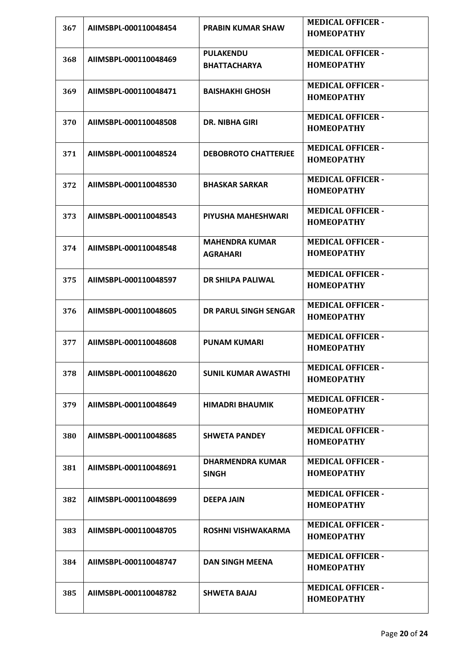| 367 | AIIMSBPL-000110048454 | <b>PRABIN KUMAR SHAW</b>    | <b>MEDICAL OFFICER -</b><br><b>HOMEOPATHY</b> |
|-----|-----------------------|-----------------------------|-----------------------------------------------|
|     |                       | <b>PULAKENDU</b>            | <b>MEDICAL OFFICER -</b>                      |
| 368 | AIIMSBPL-000110048469 | <b>BHATTACHARYA</b>         | <b>HOMEOPATHY</b>                             |
|     |                       |                             | <b>MEDICAL OFFICER -</b>                      |
| 369 | AIIMSBPL-000110048471 | <b>BAISHAKHI GHOSH</b>      | <b>HOMEOPATHY</b>                             |
|     | AIIMSBPL-000110048508 | <b>DR. NIBHA GIRI</b>       | <b>MEDICAL OFFICER -</b>                      |
| 370 |                       |                             | <b>HOMEOPATHY</b>                             |
| 371 | AIIMSBPL-000110048524 | <b>DEBOBROTO CHATTERJEE</b> | <b>MEDICAL OFFICER -</b>                      |
|     |                       |                             | <b>HOMEOPATHY</b>                             |
| 372 | AIIMSBPL-000110048530 | <b>BHASKAR SARKAR</b>       | <b>MEDICAL OFFICER -</b>                      |
|     |                       |                             | <b>HOMEOPATHY</b>                             |
| 373 | AIIMSBPL-000110048543 | PIYUSHA MAHESHWARI          | <b>MEDICAL OFFICER -</b>                      |
|     |                       |                             | <b>HOMEOPATHY</b>                             |
|     |                       | <b>MAHENDRA KUMAR</b>       | <b>MEDICAL OFFICER -</b>                      |
| 374 | AIIMSBPL-000110048548 | <b>AGRAHARI</b>             | <b>HOMEOPATHY</b>                             |
|     |                       |                             | <b>MEDICAL OFFICER -</b>                      |
| 375 | AIIMSBPL-000110048597 | <b>DR SHILPA PALIWAL</b>    | <b>HOMEOPATHY</b>                             |
| 376 | AIIMSBPL-000110048605 | DR PARUL SINGH SENGAR       | <b>MEDICAL OFFICER -</b>                      |
|     |                       |                             | <b>HOMEOPATHY</b>                             |
| 377 | AIIMSBPL-000110048608 | <b>PUNAM KUMARI</b>         | <b>MEDICAL OFFICER -</b>                      |
|     |                       |                             | <b>HOMEOPATHY</b>                             |
| 378 | AIIMSBPL-000110048620 | <b>SUNIL KUMAR AWASTHI</b>  | <b>MEDICAL OFFICER -</b>                      |
|     |                       |                             | <b>HOMEOPATHY</b>                             |
| 379 | AIIMSBPL-000110048649 | <b>HIMADRI BHAUMIK</b>      | <b>MEDICAL OFFICER -</b>                      |
|     |                       |                             | <b>HOMEOPATHY</b>                             |
| 380 | AIIMSBPL-000110048685 | <b>SHWETA PANDEY</b>        | <b>MEDICAL OFFICER -</b>                      |
|     |                       |                             | <b>HOMEOPATHY</b>                             |
| 381 | AIIMSBPL-000110048691 | <b>DHARMENDRA KUMAR</b>     | <b>MEDICAL OFFICER -</b>                      |
|     |                       | <b>SINGH</b>                | <b>HOMEOPATHY</b>                             |
| 382 | AIIMSBPL-000110048699 | <b>DEEPA JAIN</b>           | <b>MEDICAL OFFICER -</b>                      |
|     |                       |                             | <b>HOMEOPATHY</b>                             |
|     |                       |                             | <b>MEDICAL OFFICER -</b>                      |
| 383 | AIIMSBPL-000110048705 | <b>ROSHNI VISHWAKARMA</b>   | <b>HOMEOPATHY</b>                             |
|     |                       |                             | <b>MEDICAL OFFICER -</b>                      |
| 384 | AIIMSBPL-000110048747 | <b>DAN SINGH MEENA</b>      | <b>HOMEOPATHY</b>                             |
| 385 | AIIMSBPL-000110048782 | <b>SHWETA BAJAJ</b>         | <b>MEDICAL OFFICER -</b>                      |
|     |                       |                             | <b>HOMEOPATHY</b>                             |
|     |                       |                             |                                               |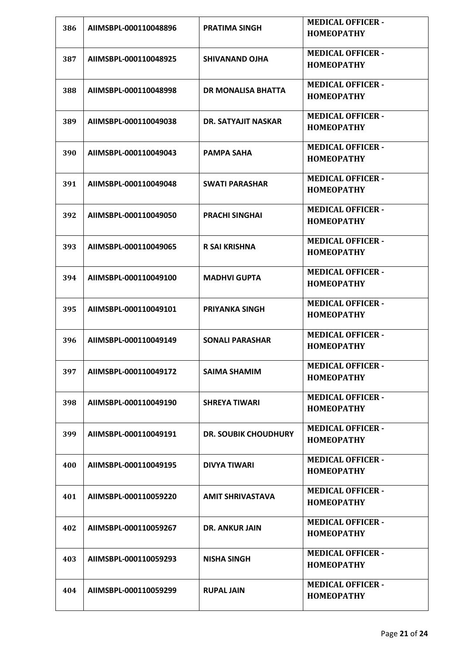| 386 | AIIMSBPL-000110048896 | <b>PRATIMA SINGH</b>        | <b>MEDICAL OFFICER -</b><br><b>HOMEOPATHY</b> |
|-----|-----------------------|-----------------------------|-----------------------------------------------|
| 387 | AIIMSBPL-000110048925 | <b>SHIVANAND OJHA</b>       | <b>MEDICAL OFFICER -</b><br><b>HOMEOPATHY</b> |
| 388 | AIIMSBPL-000110048998 | <b>DR MONALISA BHATTA</b>   | <b>MEDICAL OFFICER -</b><br><b>HOMEOPATHY</b> |
| 389 | AIIMSBPL-000110049038 | <b>DR. SATYAJIT NASKAR</b>  | <b>MEDICAL OFFICER -</b><br><b>HOMEOPATHY</b> |
| 390 | AIIMSBPL-000110049043 | <b>PAMPA SAHA</b>           | <b>MEDICAL OFFICER -</b><br><b>HOMEOPATHY</b> |
| 391 | AIIMSBPL-000110049048 | <b>SWATI PARASHAR</b>       | <b>MEDICAL OFFICER -</b><br><b>HOMEOPATHY</b> |
| 392 | AIIMSBPL-000110049050 | <b>PRACHI SINGHAI</b>       | <b>MEDICAL OFFICER -</b><br><b>HOMEOPATHY</b> |
| 393 | AIIMSBPL-000110049065 | <b>R SAI KRISHNA</b>        | <b>MEDICAL OFFICER -</b><br><b>HOMEOPATHY</b> |
| 394 | AIIMSBPL-000110049100 | <b>MADHVI GUPTA</b>         | <b>MEDICAL OFFICER -</b><br><b>HOMEOPATHY</b> |
| 395 | AIIMSBPL-000110049101 | <b>PRIYANKA SINGH</b>       | <b>MEDICAL OFFICER -</b><br><b>HOMEOPATHY</b> |
| 396 | AIIMSBPL-000110049149 | <b>SONALI PARASHAR</b>      | <b>MEDICAL OFFICER -</b><br><b>HOMEOPATHY</b> |
| 397 | AIIMSBPL-000110049172 | <b>SAIMA SHAMIM</b>         | <b>MEDICAL OFFICER -</b><br><b>HOMEOPATHY</b> |
| 398 | AIIMSBPL-000110049190 | <b>SHREYA TIWARI</b>        | <b>MEDICAL OFFICER -</b><br><b>HOMEOPATHY</b> |
| 399 | AIIMSBPL-000110049191 | <b>DR. SOUBIK CHOUDHURY</b> | <b>MEDICAL OFFICER -</b><br><b>HOMEOPATHY</b> |
| 400 | AIIMSBPL-000110049195 | <b>DIVYA TIWARI</b>         | <b>MEDICAL OFFICER -</b><br><b>HOMEOPATHY</b> |
| 401 | AIIMSBPL-000110059220 | <b>AMIT SHRIVASTAVA</b>     | <b>MEDICAL OFFICER -</b><br><b>HOMEOPATHY</b> |
| 402 | AIIMSBPL-000110059267 | <b>DR. ANKUR JAIN</b>       | <b>MEDICAL OFFICER -</b><br><b>HOMEOPATHY</b> |
| 403 | AIIMSBPL-000110059293 | <b>NISHA SINGH</b>          | <b>MEDICAL OFFICER -</b><br><b>HOMEOPATHY</b> |
| 404 | AIIMSBPL-000110059299 | <b>RUPAL JAIN</b>           | <b>MEDICAL OFFICER -</b><br><b>HOMEOPATHY</b> |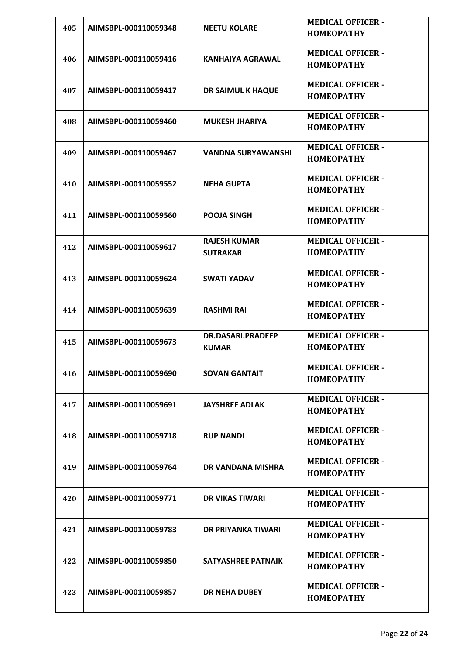| 405 | AIIMSBPL-000110059348 | <b>NEETU KOLARE</b>                    | <b>MEDICAL OFFICER -</b><br><b>HOMEOPATHY</b> |
|-----|-----------------------|----------------------------------------|-----------------------------------------------|
| 406 | AIIMSBPL-000110059416 | <b>KANHAIYA AGRAWAL</b>                | <b>MEDICAL OFFICER -</b><br><b>HOMEOPATHY</b> |
| 407 | AIIMSBPL-000110059417 | <b>DR SAIMUL K HAQUE</b>               | <b>MEDICAL OFFICER -</b><br><b>HOMEOPATHY</b> |
| 408 | AIIMSBPL-000110059460 | <b>MUKESH JHARIYA</b>                  | <b>MEDICAL OFFICER -</b><br><b>HOMEOPATHY</b> |
| 409 | AIIMSBPL-000110059467 | <b>VANDNA SURYAWANSHI</b>              | <b>MEDICAL OFFICER -</b><br><b>HOMEOPATHY</b> |
| 410 | AIIMSBPL-000110059552 | <b>NEHA GUPTA</b>                      | <b>MEDICAL OFFICER -</b><br><b>HOMEOPATHY</b> |
| 411 | AIIMSBPL-000110059560 | <b>POOJA SINGH</b>                     | <b>MEDICAL OFFICER -</b><br><b>HOMEOPATHY</b> |
| 412 | AIIMSBPL-000110059617 | <b>RAJESH KUMAR</b><br><b>SUTRAKAR</b> | <b>MEDICAL OFFICER -</b><br><b>HOMEOPATHY</b> |
| 413 | AIIMSBPL-000110059624 | <b>SWATI YADAV</b>                     | <b>MEDICAL OFFICER -</b><br><b>HOMEOPATHY</b> |
| 414 | AIIMSBPL-000110059639 | <b>RASHMI RAI</b>                      | <b>MEDICAL OFFICER -</b><br><b>HOMEOPATHY</b> |
| 415 | AIIMSBPL-000110059673 | DR.DASARI.PRADEEP<br><b>KUMAR</b>      | <b>MEDICAL OFFICER -</b><br><b>HOMEOPATHY</b> |
| 416 | AIIMSBPL-000110059690 | <b>SOVAN GANTAIT</b>                   | <b>MEDICAL OFFICER -</b><br><b>HOMEOPATHY</b> |
| 417 | AIIMSBPL-000110059691 | <b>JAYSHREE ADLAK</b>                  | <b>MEDICAL OFFICER -</b><br><b>HOMEOPATHY</b> |
| 418 | AIIMSBPL-000110059718 | <b>RUP NANDI</b>                       | <b>MEDICAL OFFICER -</b><br><b>HOMEOPATHY</b> |
| 419 | AIIMSBPL-000110059764 | DR VANDANA MISHRA                      | <b>MEDICAL OFFICER -</b><br><b>HOMEOPATHY</b> |
| 420 | AIIMSBPL-000110059771 | <b>DR VIKAS TIWARI</b>                 | <b>MEDICAL OFFICER -</b><br><b>HOMEOPATHY</b> |
| 421 | AIIMSBPL-000110059783 | DR PRIYANKA TIWARI                     | <b>MEDICAL OFFICER -</b><br><b>HOMEOPATHY</b> |
| 422 | AIIMSBPL-000110059850 | <b>SATYASHREE PATNAIK</b>              | <b>MEDICAL OFFICER -</b><br><b>HOMEOPATHY</b> |
| 423 | AIIMSBPL-000110059857 | <b>DR NEHA DUBEY</b>                   | <b>MEDICAL OFFICER -</b><br><b>HOMEOPATHY</b> |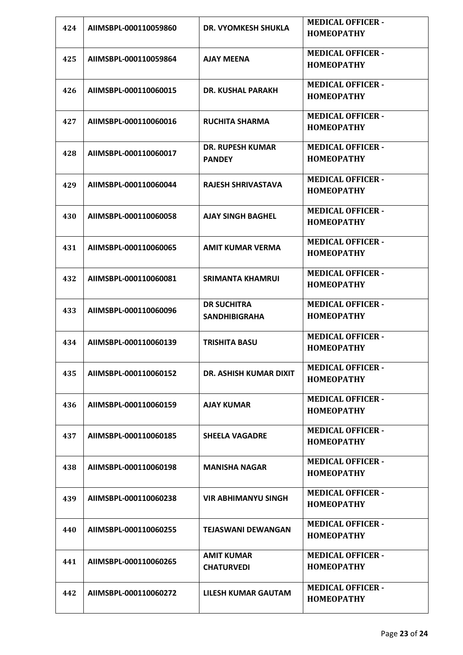| 424 | AIIMSBPL-000110059860 | <b>DR. VYOMKESH SHUKLA</b>                 | <b>MEDICAL OFFICER -</b><br><b>HOMEOPATHY</b> |
|-----|-----------------------|--------------------------------------------|-----------------------------------------------|
| 425 | AIIMSBPL-000110059864 | <b>AJAY MEENA</b>                          | <b>MEDICAL OFFICER -</b><br><b>HOMEOPATHY</b> |
| 426 | AIIMSBPL-000110060015 | <b>DR. KUSHAL PARAKH</b>                   | <b>MEDICAL OFFICER -</b><br><b>HOMEOPATHY</b> |
| 427 | AIIMSBPL-000110060016 | <b>RUCHITA SHARMA</b>                      | <b>MEDICAL OFFICER -</b><br><b>HOMEOPATHY</b> |
| 428 | AIIMSBPL-000110060017 | <b>DR. RUPESH KUMAR</b><br><b>PANDEY</b>   | <b>MEDICAL OFFICER -</b><br><b>HOMEOPATHY</b> |
| 429 | AIIMSBPL-000110060044 | <b>RAJESH SHRIVASTAVA</b>                  | <b>MEDICAL OFFICER -</b><br><b>HOMEOPATHY</b> |
| 430 | AIIMSBPL-000110060058 | <b>AJAY SINGH BAGHEL</b>                   | <b>MEDICAL OFFICER -</b><br><b>HOMEOPATHY</b> |
| 431 | AIIMSBPL-000110060065 | <b>AMIT KUMAR VERMA</b>                    | <b>MEDICAL OFFICER -</b><br><b>HOMEOPATHY</b> |
| 432 | AIIMSBPL-000110060081 | <b>SRIMANTA KHAMRUI</b>                    | <b>MEDICAL OFFICER -</b><br><b>HOMEOPATHY</b> |
| 433 | AIIMSBPL-000110060096 | <b>DR SUCHITRA</b><br><b>SANDHIBIGRAHA</b> | <b>MEDICAL OFFICER -</b><br><b>HOMEOPATHY</b> |
| 434 | AIIMSBPL-000110060139 | <b>TRISHITA BASU</b>                       | <b>MEDICAL OFFICER -</b><br><b>HOMEOPATHY</b> |
| 435 | AIIMSBPL-000110060152 | <b>DR. ASHISH KUMAR DIXIT</b>              | <b>MEDICAL OFFICER -</b><br><b>HOMEOPATHY</b> |
| 436 | AIIMSBPL-000110060159 | <b>AJAY KUMAR</b>                          | <b>MEDICAL OFFICER -</b><br><b>HOMEOPATHY</b> |
| 437 | AIIMSBPL-000110060185 | <b>SHEELA VAGADRE</b>                      | <b>MEDICAL OFFICER -</b><br><b>HOMEOPATHY</b> |
| 438 | AIIMSBPL-000110060198 | <b>MANISHA NAGAR</b>                       | <b>MEDICAL OFFICER -</b><br><b>HOMEOPATHY</b> |
| 439 | AIIMSBPL-000110060238 | <b>VIR ABHIMANYU SINGH</b>                 | <b>MEDICAL OFFICER -</b><br><b>HOMEOPATHY</b> |
| 440 | AIIMSBPL-000110060255 | <b>TEJASWANI DEWANGAN</b>                  | <b>MEDICAL OFFICER -</b><br><b>HOMEOPATHY</b> |
| 441 | AIIMSBPL-000110060265 | <b>AMIT KUMAR</b><br><b>CHATURVEDI</b>     | <b>MEDICAL OFFICER -</b><br><b>HOMEOPATHY</b> |
| 442 | AIIMSBPL-000110060272 | <b>LILESH KUMAR GAUTAM</b>                 | <b>MEDICAL OFFICER -</b><br><b>HOMEOPATHY</b> |